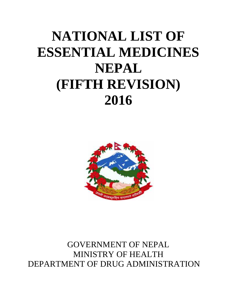# **NATIONAL LIST OF ESSENTIAL MEDICINES NEPAL (FIFTH REVISION) (FIFTH 2016**



GOVERNMENT OF NEPAL MINISTRY OF HEALTH DEPARTMENT OF DRUG ADMINISTRATION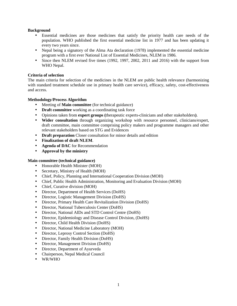### **Background**

- Essential medicines are those medicines that satisfy the priority health care needs of the population. WHO published the first essential medicine list in 1977 and has been updating it every two years since.
- Nepal being a signatory of the Alma Ata declaration (1978) implemented the essential medicine program with a first ever National List of Essential Medicines, NLEM in 1986.
- Since then NLEM revised five times (1992, 1997, 2002, 2011 and 2016) with the support from WHO Nepal.

## **Criteria of selection**

The main criteria for selection of the medicines in the NLEM are public health relevance (harmonizing with standard treatment schedule use in primary health care service), efficacy, safety, cost-effectiveness and access.

# **Methodology/Process Algorithm**

- Meeting of **Main committee** (for technical guidance)
- **Draft committee** working as a coordinating task force
- Opinions taken from **expert groups (**therapeutic experts-clinicians and other stakeholders**)**.
- **Wider consultation** through organizing workshop with resource personnel, clinicians/expert, draft committee, main committee comprising policy makers and programme managers and other relevant stakeholders based on STG and Evidences
- **Draft preparation** Closer consultation for minor details and edition
- **Finalization of draft NLEM**.
- **Agenda of DAC** for Recommendation
- **Approval by the ministry**

#### **Main committee (technical guidance)**

- Honorable Health Minister (MOH)
- Secretary, Ministry of Health (MOH)
- Chief, Policy, Planning and International Cooperation Division (MOH)
- Chief, Public Health Administration, Monitoring and Evaluation Division (MOH)
- Chief, Curative division (MOH)
- Director, Department of Health Services (DoHS)
- Director, Logistic Management Division (DoHS)
- Director, Primary Health Care Revitalization Division (DoHS)
- Director, National Tuberculosis Center (DoHS)
- Director, National AIDs and STD Control Centre (DoHS)
- Director, Epidemiology and Disease Control Division, (DoHS)
- Director, Child Health Division (DoHS)
- Director, National Medicine Laboratory (MOH)
- Director, Leprosy Control Section (DoHS)
- Director, Family Health Division (DoHS)
- Director, Management Division (DoHS)
- Director, Department of Ayurveda
- Chairperson, Nepal Medical Council
- WR/WHO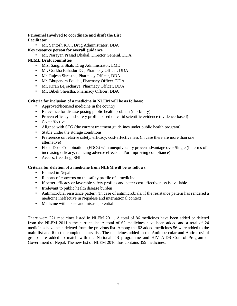# **Personnel Involved to coordinate and draft the List Facilitator**

• Mr. Santosh K.C., Drug Administrator, DDA

# **Key resource person for overall guidance**

- Mr. Narayan Prasad Dhakal, Director General, DDA
- **NEML Draft committee**
	- Mrs. Sangita Shah, Drug Administrator, LMD
	- Mr. Gorkha Bahadur DC, Pharmacy Officer, DDA
	- Mr. Rajesh Shrestha, Pharmacy Officer, DDA
	- Mr. Bhupendra Poudel, Pharmacy Officer, DDA
	- Mr. Kiran Bajracharya, Pharmacy Officer, DDA
	- Mr. Bibek Shrestha, Pharmacy Officer, DDA

# **Criteria for inclusion of a medicine in NLEM will be as follows:**

- Approved/licensed medicine in the country
- Relevance for disease posing public health problem (morbidity)
- Proven efficacy and safety profile based on valid scientific evidence (evidence-based)
- Cost effective
- Aligned with STG (the current treatment guidelines under public health program)
- Stable under the storage conditions
- Preference on relative safety, efficacy, cost-effectiveness (in case there are more than one alternative)
- Fixed Dose Combinations (FDCs) with unequivocally proven advantage over Single (in terms of increasing efficacy, reducing adverse effects and/or improving compliance)
- Access, free drug, SHI

# **Criteria for deletion of a medicine from NLEM will be as follows:**

- Banned in Nepal
- Reports of concerns on the safety profile of a medicine
- If better efficacy or favorable safety profiles and better cost-effectiveness is available.
- Irrelevant to public health disease burden
- Antimicrobial resistance pattern (In case of antimicrobials, if the resistance pattern has rendered a medicine ineffective in Nepalese and international context)
- Medicine with abuse and misuse potential

There were 321 medicines listed in NLEM 2011. A total of 86 medicines have been added or deleted from the NLEM 2011in the current list. A total of 62 medicines have been added and a total of 24 medicines have been deleted from the previous list. Among the 62 added medicines 56 were added to the main list and 6 to the complementary list. The medicines added in the Antitubercular and Antiretroviral groups are added to match with the National TB programme and HIV AIDS Control Program of Government of Nepal. The new list of NLEM 2016 thus contains 359 medicines.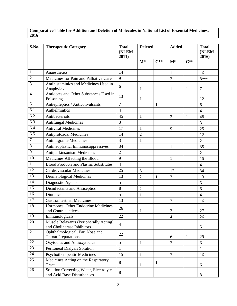# **Comparative Table for Addition and Deletion of Molecules in National List of Essential Medicines,**

| S.No.            | <b>Therapeutic Category</b>                                          | <b>Total</b><br>(NLEM<br>2011) | <b>Deleted</b> |              | <b>Added</b>   | <b>Total</b><br>(NLEM<br>2016) |                |
|------------------|----------------------------------------------------------------------|--------------------------------|----------------|--------------|----------------|--------------------------------|----------------|
|                  |                                                                      |                                | $M^*$          | $C^{**}$     | $M^*$          | $C^{**}$                       |                |
| 1                | Anaesthetics                                                         | 14                             |                |              | $\mathbf{1}$   | $\mathbf{1}$                   | 16             |
| $\overline{2}$   | Medicines for Pain and Palliative Care                               | 9                              |                |              | $\overline{2}$ |                                | $8***$         |
| 3                | Antihistaminics and Medicines Used in<br>Anaphylaxis                 | 6                              | 1              |              | $\mathbf{1}$   | 1                              | $\tau$         |
| 4                | Antidotes and Other Substances Used in<br>Poisonings                 | 13                             | $\mathbf{1}$   |              |                |                                | 12             |
| 5                | Antiepileptics / Anticonvulsants                                     | $\overline{7}$                 |                | $\mathbf{1}$ |                |                                | 6              |
| 6.1              | Anthelmintics                                                        | $\overline{4}$                 |                |              |                |                                | $\overline{4}$ |
| 6.2              | Antibacterials                                                       | 45                             | $\mathbf{1}$   |              | 3              | $\mathbf{1}$                   | 48             |
| 6.3              | <b>Antifungal Medicines</b>                                          | 3                              |                |              |                |                                | 3              |
| 6.4              | <b>Antiviral Medicines</b>                                           | 17                             | $\mathbf{1}$   |              | 9              |                                | 25             |
| 6.5              | <b>Antiprotozoal Medicines</b>                                       | 14                             | $\overline{2}$ |              |                |                                | 12             |
| $\boldsymbol{7}$ | <b>Antimigraine Medicines</b>                                        | 3                              | $\mathbf{1}$   |              |                |                                | $\overline{2}$ |
| $\,8\,$          | Antineoplastic, Immunosuppressives                                   | 34                             |                |              | $\mathbf{1}$   |                                | 35             |
| 9                | Antiparkinsonism Medicines                                           | $\overline{2}$                 |                |              |                |                                | $\overline{2}$ |
| 10               | Medicines Affecting the Blood                                        | 9                              |                |              | $\mathbf{1}$   |                                | 10             |
| 11               | <b>Blood Products and Plasma Substitutes</b>                         | $\overline{4}$                 |                |              |                |                                | $\overline{4}$ |
| 12               | <b>Cardiovascular Medicines</b>                                      | 25                             | $\overline{3}$ |              | 12             |                                | 34             |
| 13               | <b>Dermatological Medicines</b>                                      | 13                             | $\overline{2}$ | 1            | 3              |                                | 13             |
| 14               | Diagnostic Agents                                                    | 5                              |                |              |                |                                | 5              |
| 15               | Disinfectants and Antiseptics                                        | 8                              | $\overline{2}$ |              |                |                                | 6              |
| 16               | <b>Diuretics</b>                                                     | 5                              | $\mathbf{1}$   |              |                |                                | $\overline{4}$ |
| 17               | <b>Gastrointestinal Medicines</b>                                    | 13                             |                |              | $\overline{3}$ |                                | 16             |
| 18               | Hormones, Other Endocrine Medicines<br>and Contraceptives            | 26                             | 1              |              | $\mathfrak{2}$ |                                | 27             |
| 19               | Immunologicals                                                       | 22                             |                |              | $\overline{4}$ |                                | 26             |
| 20               | Muscle Relaxants (Peripherally Acting)<br>and Cholinerase Inhibitors | $\overline{4}$                 |                |              |                | 1                              | 5              |
| 21               | Ophthalmological, Ear, Nose and<br><b>Throat Preparations</b>        | 22                             |                |              | 6              | $\mathbf{1}$                   | 29             |
| 22               | Oxytocics and Antioxytocics                                          | 5                              | $\mathbf{1}$   |              | $\overline{2}$ |                                | 6              |
| 23               | Peritoneal Dialysis Solution                                         | 1                              |                |              |                |                                |                |
| 24               | Psychotherapeutic Medicines                                          | 15                             | $\mathbf{1}$   |              | $\overline{2}$ |                                | 16             |
| 25               | Medicines Acting on the Respiratory<br><b>Tract</b>                  | $\,8\,$                        | 1              | $\mathbf{1}$ |                |                                | $6\,$          |
| 26               | Solution Correcting Water, Electrolyte<br>and Acid Base Disturbances | $\,8\,$                        |                |              |                |                                | $8\,$          |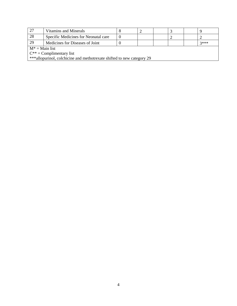| 27                                                                     | Vitamins and Minerals                |  |  |  |  |  |  |  |
|------------------------------------------------------------------------|--------------------------------------|--|--|--|--|--|--|--|
| 28                                                                     | Specific Medicines for Neonatal care |  |  |  |  |  |  |  |
| 29                                                                     | Medicines for Diseases of Joint      |  |  |  |  |  |  |  |
| $M^* =$ Main list                                                      |                                      |  |  |  |  |  |  |  |
|                                                                        | $C^{**} =$ Complimentary list        |  |  |  |  |  |  |  |
| ***allopurinol, colchicine and methotrexate shifted to new category 29 |                                      |  |  |  |  |  |  |  |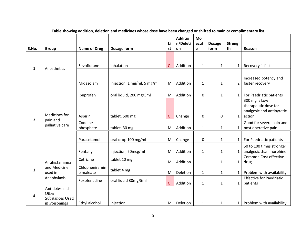| S.No.        | Group                                                             | <b>Name of Drug</b>         | Dosage form                 | Li<br>st     | <b>Additio</b><br>n/Deleti<br>on | Mol<br>ecul<br>e | <b>Dosage</b><br>form | <b>Streng</b><br>th | Reason                                                                       |
|--------------|-------------------------------------------------------------------|-----------------------------|-----------------------------|--------------|----------------------------------|------------------|-----------------------|---------------------|------------------------------------------------------------------------------|
|              |                                                                   |                             |                             |              |                                  |                  |                       |                     |                                                                              |
| 1            | Anesthetics                                                       | Sevoflurane                 | inhalation                  | $\mathsf{C}$ | Addition                         | $\mathbf{1}$     | $\mathbf{1}$          | $\mathbf{1}$        | Recovery is fast                                                             |
|              |                                                                   | Midazolam                   | injection, 1 mg/ml, 5 mg/ml | M            | Addition                         | $\mathbf{1}$     | $\mathbf{1}$          | $\overline{2}$      | Increased potency and<br>faster recovery                                     |
|              |                                                                   | Ibuprofen                   | oral liquid, 200 mg/5ml     | M            | Addition                         | $\boldsymbol{0}$ | $\mathbf{1}$          | $\mathbf{1}$        | For Paedriatic patients                                                      |
| $\mathbf{2}$ | Medicines for                                                     | Aspirin                     | tablet, 500 mg              | $\mathsf{C}$ | Change                           | $\pmb{0}$        | $\pmb{0}$             | $\mathbf{1}$        | 300 mg is Low<br>therapeutic dose for<br>analgesic and antipyretic<br>action |
|              | pain and<br>palliative care                                       | Codeine<br>phosphate        | tablet, 30 mg               | M            | Addition                         | $\mathbf{1}$     | $\mathbf{1}$          | $\mathbf{1}$        | Good for severe pain and<br>post operative pain                              |
|              |                                                                   | Paracetamol                 | oral drop 100 mg/ml         | M            | Change                           | $\mathbf 0$      | $\mathbf{1}$          | $\mathbf{1}$        | For Paedriatic patients                                                      |
|              |                                                                   | Fentanyl                    | injection, 50mcg/ml         | M            | Addition                         | $\mathbf{1}$     | $\mathbf{1}$          | $\mathbf{1}$        | 50 to 100 times stronger<br>analgesic than morphine                          |
|              | Antihistaminics                                                   | Cetrizine                   | tablet 10 mg                | M            | Addition                         | $\mathbf{1}$     | $\mathbf{1}$          | $\mathbf{1}$        | Common Cost effective<br>drug                                                |
| 3            | and Medicine<br>used in                                           | Chlopheniramin<br>e maleate | tablet 4 mg                 | ${\sf M}$    | Deletion                         | $\mathbf{1}$     | $\mathbf{1}$          | $\mathbf{1}$        | Problem with availability                                                    |
|              | Anaphylaxis                                                       | Fexofenadine                | oral liquid 30mg/5ml        | $\mathsf{C}$ | Addition                         | $\mathbf{1}$     | $\mathbf{1}$          | $\mathbf{1}$        | <b>Effective for Paedriatic</b><br>patients                                  |
| 4            | Antidotes and<br>Other<br><b>Substances Used</b><br>in Poisonings | Ethyl alcohol               | injection                   | M            | Deletion                         | $\mathbf{1}$     | $\mathbf{1}$          | $\mathbf{1}$        | Problem with availability                                                    |

| Table showing addition, deletion and medicines whose dose have been changed or shifted to main or complimentary list |  |  |
|----------------------------------------------------------------------------------------------------------------------|--|--|
|                                                                                                                      |  |  |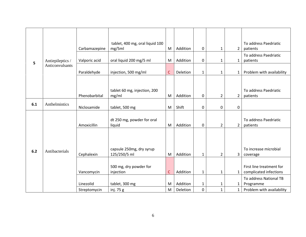|     |                  | Carbamazepine | tablet, 400 mg, oral liquid 100<br>mg/5ml | M            | Addition | 0            | 1              | 2              | To address Paedriatic<br>patients                  |
|-----|------------------|---------------|-------------------------------------------|--------------|----------|--------------|----------------|----------------|----------------------------------------------------|
| 5   | Antiepileptics / | Valporic acid | oral liquid 200 mg/5 ml                   | M            | Addition | $\mathbf 0$  | 1              | $\mathbf{1}$   | To address Paedriatic<br>patients                  |
|     | Anticonvulsants  | Paraldehyde   | injection, 500 mg/ml                      | $\mathsf{C}$ | Deletion | $\mathbf 1$  | $\mathbf{1}$   | $\mathbf{1}$   | Problem with availability                          |
|     |                  |               |                                           |              |          |              |                |                |                                                    |
|     |                  | Phenobarbital | tablet 60 mg, injection, 200<br>mg/ml     | M            | Addition | $\mathbf 0$  | $\overline{2}$ | $\overline{2}$ | To address Paedriatic<br>patients                  |
| 6.1 | Anthelmintics    | Niclosamide   | tablet, 500 mg                            | M            | Shift    | $\mathbf 0$  | 0              | 0              |                                                    |
|     |                  | Amoxicillin   | dt 250 mg, powder for oral<br>liquid      | M            | Addition | 0            | $\overline{2}$ | $\overline{2}$ | To address Paedriatic<br>patients                  |
|     |                  |               |                                           |              |          |              |                |                |                                                    |
| 6.2 | Antibacterials   | Cephalexin    | capsule 250mg, dry syrup<br>125/250/5 ml  | M            | Addition | $\mathbf{1}$ | $\overline{2}$ | 3              | To increase microbial<br>coverage                  |
|     |                  | Vancomycin    | 500 mg, dry powder for<br>injection       | C            | Addition | $\mathbf{1}$ | $\mathbf{1}$   | $\mathbf{1}$   | First line treatment for<br>complicated infections |
|     |                  | Linezolid     | tablet, 300 mg                            | M            | Addition | $\mathbf{1}$ | 1              | 1              | To address National TB<br>Programme                |
|     |                  | Streptomycin  | inj. 75 g                                 | M            | Deletion | $\mathbf 0$  | $\mathbf{1}$   | $\mathbf{1}$   | Problem with availability                          |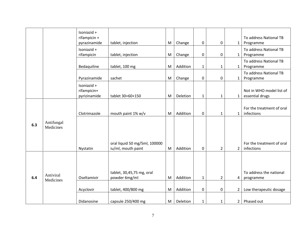|     |                         | Isoniazid +                                |                                                     |           |          |                  |                |                |                                             |
|-----|-------------------------|--------------------------------------------|-----------------------------------------------------|-----------|----------|------------------|----------------|----------------|---------------------------------------------|
|     |                         | rifampicin +<br>pyrazinamide               | tablet, injection                                   | M         | Change   | 0                | 0              | $\mathbf{1}$   | To address National TB<br>Programme         |
|     |                         | Isoniazid +<br>rifampicin                  | tablet, injection                                   | M         | Change   | $\boldsymbol{0}$ | 0              | $\mathbf{1}$   | To address National TB<br>Programme         |
|     |                         | Bedaquiline                                | tablet, 100 mg                                      | M         | Addition | $\mathbf{1}$     | $\mathbf{1}$   | $\mathbf{1}$   | To address National TB<br>Programme         |
|     |                         | Pyrazinamide                               | sachet                                              | ${\sf M}$ | Change   | $\pmb{0}$        | 0              | $\mathbf{1}$   | To address National TB<br>Programme         |
|     |                         | Isoniazid +<br>rifampicin+<br>pyrizinamide | tablet 30+60+150                                    | M         | Deletion | 1                | $\mathbf{1}$   | $\mathbf{1}$   | Not in WHO model list of<br>essential drugs |
|     |                         | Clotrimazole                               | mouth paint 1% w/v                                  | M         | Addition | $\pmb{0}$        | 1              | $\mathbf{1}$   | For the treatment of oral<br>infections     |
| 6.3 | Antifungal<br>Medicines |                                            |                                                     |           |          |                  |                |                |                                             |
|     |                         | Nystatin                                   | oral liquid 50 mg/5ml, 100000<br>iu/ml, mouth paint | ${\sf M}$ | Addition | 0                | $\overline{2}$ | $\overline{2}$ | For the treatment of oral<br>infections     |
|     |                         |                                            |                                                     |           |          |                  |                |                |                                             |
| 6.4 | Antiviral<br>Medicines  | Oseltamivir                                | tablet, 30,45,75 mg, oral<br>powder 6mg/ml          | M         | Addition | $\mathbf{1}$     | $\overline{2}$ | 4              | To address the national<br>programme        |
|     |                         | Acyclovir                                  | tablet, 400/800 mg                                  | M         | Addition | $\boldsymbol{0}$ | 0              | $\overline{2}$ | Low therapeutic dosage                      |
|     |                         | Didanosine                                 | capsule 250/400 mg                                  | M         | Deletion | $\mathbf{1}$     | 1              | 2              | Phased out                                  |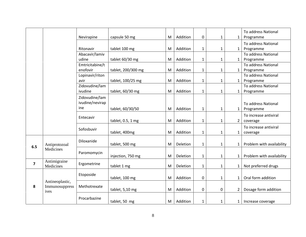|                         |                        |                 |                    |   |          |              |              |              | To address National       |
|-------------------------|------------------------|-----------------|--------------------|---|----------|--------------|--------------|--------------|---------------------------|
|                         |                        | Nevirapine      | capsule 50 mg      | M | Addition | $\mathbf 0$  | 1            | 1            | Programme                 |
|                         |                        |                 |                    |   |          |              |              |              | To address National       |
|                         |                        | Ritonavir       | tablet 100 mg      | M | Addition | 1            | 1            | $\mathbf{1}$ | Programme                 |
|                         |                        | Abacavir/lamiv  |                    |   |          |              |              |              | To address National       |
|                         |                        | udine           | tablet 60/30 mg    | M | Addition | 1            | 1            | 1            | Programme                 |
|                         |                        | Emtricitabine/t |                    |   |          |              |              |              | To address National       |
|                         |                        | enofovir        | tablet, 200/300 mg | M | Addition | $\mathbf{1}$ | 1            | 1            | Programme                 |
|                         |                        | Lopinavir/riton |                    |   |          |              |              |              | To address National       |
|                         |                        | avir            | tablet, 100/25 mg  | M | Addition | 1            | 1            | 1            | Programme                 |
|                         |                        | Zidovudine/lam  |                    |   |          |              |              |              | To address National       |
|                         |                        | ivudine         | tablet, 60/30 mg   | M | Addition | 1            | 1            |              | Programme                 |
|                         |                        | Zidovudine/lam  |                    |   |          |              |              |              |                           |
|                         |                        | ivudine/nevirap |                    |   |          |              |              |              | To address National       |
|                         |                        | ine             | tablet, 60/30/50   | M | Addition | $\mathbf{1}$ | $\mathbf{1}$ | 1            | Programme                 |
|                         |                        |                 |                    |   |          |              |              |              | To increase antiviral     |
|                         |                        | Entecavir       | tablet, 0.5, 1 mg  | M | Addition | $\mathbf{1}$ | $\mathbf{1}$ | 2            | coverage                  |
|                         |                        |                 |                    |   |          |              |              |              | To increase antiviral     |
|                         |                        | Sofosbuvir      | tablet, 400mg      | M | Addition | $\mathbf{1}$ | $\mathbf{1}$ |              | coverage                  |
|                         |                        |                 |                    |   |          |              |              | 1            |                           |
|                         |                        | Diloxanide      |                    |   |          |              |              |              |                           |
| 6.5                     | Antiprotozoal          |                 | tablet, 500 mg     | M | Deletion | $\mathbf{1}$ | 1            |              | Problem with availability |
|                         | Medicines              | Paromomycin     |                    |   |          |              |              |              |                           |
|                         |                        |                 | injection, 750 mg  | M | Deletion | $\mathbf{1}$ | $\mathbf{1}$ |              | Problem with availability |
| $\overline{\mathbf{z}}$ | Antimigraine           | Ergometrine     |                    |   |          |              |              |              |                           |
|                         | Medicines              |                 | tablet 1 mg        | M | Deletion | 1            | 1            | 1            | Not preferred drugs       |
|                         |                        | Etoposide       |                    |   |          |              |              |              |                           |
|                         |                        |                 | tablet, 100 mg     | M | Addition | $\mathbf 0$  | $\mathbf{1}$ | 1            | Oral form addition        |
|                         | Antineoplastic,        |                 |                    |   |          |              |              |              |                           |
| 8                       | Immunosuppress<br>ives | Methotrexate    | tablet, 5,10 mg    | M | Addition | $\pmb{0}$    | $\pmb{0}$    | 2            | Dosage form addition      |
|                         |                        |                 |                    |   |          |              |              |              |                           |
|                         |                        | Procarbazine    | tablet, 50 mg      | M | Addition | 1            | 1            | 1            | Increase coverage         |
|                         |                        |                 |                    |   |          |              |              |              |                           |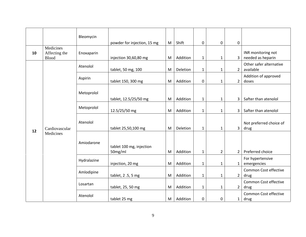|    |                                            | Bleomycin   | powder for injection, 15 mg            | M      | Shift    | 0                            | 0                            | 0            |                                         |
|----|--------------------------------------------|-------------|----------------------------------------|--------|----------|------------------------------|------------------------------|--------------|-----------------------------------------|
| 10 | Medicines<br>Affecting the<br><b>Blood</b> | Enoxaparin  | injection 30,60,80 mg                  | M      | Addition | $\mathbf{1}$                 | $\mathbf{1}$                 | 3            | INR monitoring not<br>needed as heparin |
|    |                                            | Atenolol    | tablet, 50 mg, 100                     | M      | Deletion | $\mathbf{1}$                 | $\mathbf{1}$                 | $2^{\circ}$  | Other safer alternative<br>available    |
|    |                                            | Aspirin     | tablet 150, 300 mg                     | M      | Addition | $\pmb{0}$                    | $\mathbf{1}$                 | $2^{\circ}$  | Addition of approved<br>doses           |
|    |                                            | Metoprolol  |                                        |        | Addition |                              |                              | 3            | Safter than atenolol                    |
|    |                                            | Metoprolol  | tablet, 12.5/25/50 mg<br>12.5/25/50 mg | M<br>M | Addition | $\mathbf{1}$<br>$\mathbf{1}$ | $\mathbf{1}$<br>$\mathbf{1}$ | 3            | Safter than atenolol                    |
| 12 | Cardiovascular                             | Atenolol    | tablet 25,50,100 mg                    | M      | Deletion | $\mathbf{1}$                 | $\mathbf{1}$                 | $\mathbf{3}$ | Not preferred choice of<br>drug         |
|    | Medicines                                  | Amiodarone  | tablet 100 mg, injection<br>50mg/ml    | M      | Addition | $\mathbf{1}$                 | $\overline{2}$               | $\mathbf{2}$ | Preferred choice                        |
|    |                                            | Hydralazine | injection, 20 mg                       | M      | Addition | $\mathbf{1}$                 | $\mathbf{1}$                 | $\mathbf{1}$ | For hypertensive<br>emergencies         |
|    |                                            | Amlodipine  | tablet, 2.5, 5 mg                      | M      | Addition | $\mathbf{1}$                 | $\mathbf{1}$                 | $2^{\circ}$  | Common Cost effective<br>drug           |
|    |                                            | Losartan    | tablet, 25, 50 mg                      | M      | Addition | $\mathbf{1}$                 | $\mathbf{1}$                 | $2^{\circ}$  | Common Cost effective<br>drug           |
|    |                                            | Atenolol    | tablet 25 mg                           | M      | Addition | 0                            | $\mathbf 0$                  | $\mathbf{1}$ | Common Cost effective<br>drug           |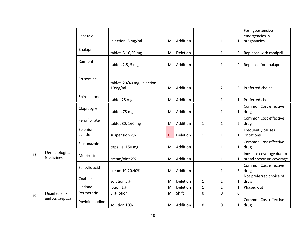|    |                             | Labetalol           |                                        |              |          |              |                |                | For hypertensive<br>emergencies in                  |
|----|-----------------------------|---------------------|----------------------------------------|--------------|----------|--------------|----------------|----------------|-----------------------------------------------------|
|    |                             |                     | injection, 5 mg/ml                     | M            | Addition | $\mathbf{1}$ | $\mathbf{1}$   | $\mathbf{1}$   | pregnancies                                         |
|    |                             | Enalapril           | tablet, 5,10,20 mg                     | M            | Deletion | $\mathbf{1}$ | $\mathbf{1}$   | 3              | Replaced with ramipril                              |
|    |                             | Ramipril            | tablet, 2.5, 5 mg                      | M            | Addition | $\mathbf 1$  | $\mathbf{1}$   | $\overline{2}$ | Replaced for enalapril                              |
|    |                             | Frusemide           | tablet, 20/40 mg, injection<br>10mg/ml | M            | Addition | $\mathbf 1$  | $\overline{2}$ | 3              | Preferred choice                                    |
|    |                             | Spirolactone        | tablet 25 mg                           | M            | Addition | $\mathbf{1}$ | $\mathbf{1}$   | $\mathbf{1}$   | Preferred choice                                    |
|    |                             | Clopidogrel         | tablet, 75 mg                          | M            | Addition | $\mathbf 1$  | $\mathbf{1}$   | $\mathbf{1}$   | Common Cost effective<br>drug                       |
|    |                             | Fenofibirate        | tablet 80, 160 mg                      | M            | Addition | $\mathbf 1$  | $\mathbf{1}$   | $\overline{2}$ | Common Cost effective<br>drug                       |
|    |                             | Selenium<br>sulfide | suspension 2%                          | $\mathsf{C}$ | Deletion | $\mathbf 1$  | $\mathbf{1}$   | $\mathbf{1}$   | Frequently causes<br>irritations                    |
|    |                             | Fluconazole         | capsule, 150 mg                        | M            | Addition | $\mathbf{1}$ | $\mathbf{1}$   | $\mathbf{1}$   | Common Cost effective<br>drug                       |
| 13 | Dermatological<br>Medicines | Mupirocin           | cream/oint 2%                          | M            | Addition | $\mathbf{1}$ | $\mathbf{1}$   | $\mathbf{1}$   | Increase coverage due to<br>broad spectrum coverage |
|    |                             | Salisylic acid      | cream 10,20,40%                        | M            | Addition | $\mathbf 1$  | $\mathbf{1}$   | $\overline{3}$ | Common Cost effective<br>drug                       |
|    |                             | Coal tar            | solution 5%                            | M            | Deletion | $\mathbf{1}$ | $\mathbf{1}$   | $\mathbf{1}$   | Not preferred choice of<br>drug                     |
|    |                             | Lindane             | lotion 1%                              | M            | Deletion | $\mathbf{1}$ | $\mathbf{1}$   | $\mathbf{1}$   | Phased out                                          |
|    | Disinfectants               | Permethrin          | 5 % lotion                             | ${\sf M}$    | Shift    | $\mathbf 0$  | $\mathbf 0$    | $\Omega$       |                                                     |
| 15 | and Antiseptics             | Povidine iodine     | solution 10%                           | M            | Addition | $\mathbf 0$  | $\mathbf 0$    | $\mathbf{1}$   | Common Cost effective<br>drug                       |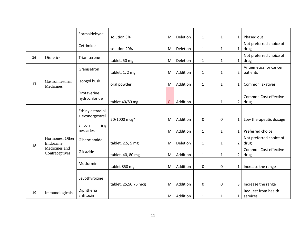|    |                                 | Formaldehyde                        | solution 3%          | M            | <b>Deletion</b> | $\mathbf{1}$ | 1            | 1              | Phased out                           |
|----|---------------------------------|-------------------------------------|----------------------|--------------|-----------------|--------------|--------------|----------------|--------------------------------------|
|    |                                 | Cetrimide                           | solution 20%         | M            | Deletion        | $\mathbf{1}$ | 1            | $\mathbf{1}$   | Not preferred choice of<br>drug      |
| 16 | Diuretics                       | Triamterene                         | tablet, 50 mg        | M            | <b>Deletion</b> | $\mathbf{1}$ | 1            | $\mathbf{1}$   | Not preferred choice of<br>drug      |
|    |                                 | Granisetron                         | tablet, 1, 2 mg      | M            | Addition        | $\mathbf{1}$ | 1            | $\overline{2}$ | Antiemetics for cancer<br>patients   |
| 17 | Gastrointestinal<br>Medicines   | Isobgol husk                        | oral powder          | M            | Addition        | $\mathbf{1}$ | $\mathbf{1}$ | $\mathbf{1}$   | Common laxatives                     |
|    |                                 | Drotaverine<br>hydrochloride        | tablet 40/80 mg      | $\mathsf{C}$ | Addition        | $\mathbf{1}$ | $\mathbf{1}$ | $\overline{2}$ | <b>Common Cost effective</b><br>drug |
|    |                                 | Ethinylestradiol<br>+levonorgestrel | 20/1000 mcg*         | M            | Addition        | 0            | 0            | $\mathbf{1}$   | Low therapeutic dosage               |
|    |                                 | Silicon<br>ring<br>pessaries        |                      | M            | Addition        | $\mathbf{1}$ | $\mathbf{1}$ | $\mathbf{1}$   | Preferred choice                     |
| 18 | Hormones, Other<br>Endocrine    | Gibenclamide                        | tablet, 2.5, 5 mg    | M            | Deletion        | $\mathbf{1}$ | 1            | $\overline{2}$ | Not preferred choice of<br>drug      |
|    | Medicines and<br>Contraceptives | Glicazide                           | tablet, 40, 80 mg    | M            | Addition        | $\mathbf{1}$ | $\mathbf 1$  | $\overline{2}$ | Common Cost effective<br>drug        |
|    |                                 | Metformin                           | tablet 850 mg        | M            | Addition        | $\mathbf 0$  | 0            | $\mathbf{1}$   | Increase the range                   |
|    |                                 | Levothyroxine                       | tablet, 25,50,75 mcg | M            | Addition        | $\mathbf 0$  | $\mathbf 0$  | 3              | Increase the range                   |
| 19 | Immunologicals                  | Diphtheria<br>antitoxin             |                      | M            | Addition        | $\mathbf{1}$ | 1            | $\mathbf{1}$   | Request from health<br>services      |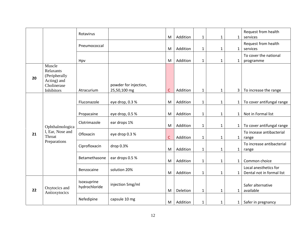|    |                                                                                  | Rotavirus                    |                                       | M | Addition | $\mathbf{1}$ | $\mathbf{1}$ | $\mathbf{1}$ | Request from health<br>services                    |
|----|----------------------------------------------------------------------------------|------------------------------|---------------------------------------|---|----------|--------------|--------------|--------------|----------------------------------------------------|
|    |                                                                                  | Pneumococcal                 |                                       | M | Addition | $\mathbf{1}$ | $\mathbf{1}$ | $\mathbf{1}$ | Request from health<br>services                    |
|    |                                                                                  | Hpv                          |                                       | M | Addition | $\mathbf{1}$ | $\mathbf{1}$ | $\mathbf{1}$ | To cover the national<br>programme                 |
| 20 | Muscle<br>Relaxants<br>(Peripherally<br>Acting) and<br>Cholinerase<br>Inhibitors | Atracurium                   | powder for injection,<br>25,50,100 mg | C | Addition | $\mathbf{1}$ | $\mathbf{1}$ | 3            | To increase the range                              |
|    |                                                                                  | Fluconazole                  | eye drop, 0.3 %                       | M | Addition | $\mathbf{1}$ | $\mathbf{1}$ | $\mathbf{1}$ | To cover antifungal range                          |
|    | Ophthalmologica                                                                  | Propacaine                   | eye drop, 0.5 %                       | M | Addition | $\mathbf{1}$ | $\mathbf{1}$ | $\mathbf{1}$ | Not in Formal list                                 |
|    |                                                                                  | Clotrimazole                 | ear drops 1%                          | M | Addition | $\mathbf{1}$ | $\mathbf{1}$ | $\mathbf{1}$ | To cover antifungal range                          |
| 21 | 1, Ear, Nose and<br>Throat                                                       | Ofloxacin                    | eye drop 0.3 %                        | C | Addition | $\mathbf{1}$ | 1            | $\mathbf{1}$ | To incease antibacterial<br>range                  |
|    | Preparations                                                                     | Ciprofloxacin                | drop 0.3%                             | M | Addition | $\mathbf{1}$ | $\mathbf{1}$ | $\mathbf{1}$ | To increase antibacterial<br>range                 |
|    |                                                                                  | Betamethasone                | ear drops 0.5 %                       | M | Addition | $\mathbf{1}$ | $\mathbf{1}$ | 1            | Common choice                                      |
|    |                                                                                  | Benzocaine                   | solution 20%                          | M | Addition | $\mathbf{1}$ | $\mathbf{1}$ | 1            | Local anesthetics for<br>Dental not in formal list |
| 22 | Oxytocics and<br>Antioxytocics                                                   | Isoxsuprine<br>hydrochloride | injection 5mg/ml                      | M | Deletion | $\mathbf{1}$ | $\mathbf{1}$ | $\mathbf{1}$ | Safer alternative<br>available                     |
|    |                                                                                  | Nefedipine                   | capsule 10 mg                         | M | Addition | $\mathbf{1}$ | $\mathbf{1}$ | $\mathbf{1}$ | Safer in pregnancy                                 |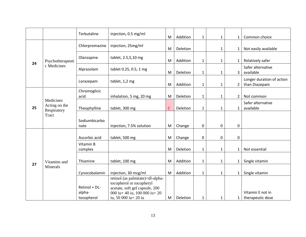|    |                                           | Terbutaline                           | injection, 0.5 mg/ml                                                                                                                                    | M            | Addition | $\mathbf{1}$ | $\mathbf{1}$ | $\mathbf{1}$   | Common choice                              |
|----|-------------------------------------------|---------------------------------------|---------------------------------------------------------------------------------------------------------------------------------------------------------|--------------|----------|--------------|--------------|----------------|--------------------------------------------|
|    |                                           | Chlorpromazine                        | injection, 25mg/ml                                                                                                                                      | M            | Deletion |              | $\mathbf{1}$ | $\mathbf{1}$   | Not easily available                       |
|    | Psychotherapeuti                          | Olanzapine                            | tablet, 2.5,5,10 mg                                                                                                                                     | M            | Addition | $\mathbf{1}$ | $\mathbf{1}$ | $\mathbf{1}$   | Relatively safer                           |
| 24 | c Medicines                               | Alprazolam                            | tablet 0.25, 0.5, 1 mg                                                                                                                                  | M            | Deletion | $\mathbf{1}$ | $\mathbf{1}$ | 3              | Safer alternative<br>available             |
|    |                                           | Lorazepam                             | tablet, 1,2 mg                                                                                                                                          | M            | Addition | 1            | $\mathbf{1}$ | 2              | Longer duration of action<br>than Diazepam |
|    |                                           | Chromoglicic<br>acid                  | inhalation, 5 mg, 20 mg                                                                                                                                 | M            | Deletion | $\mathbf{1}$ | $\mathbf{1}$ | $\overline{2}$ | Not common                                 |
| 25 | Medicines<br>Acting on the<br>Respiratory | Theophylline                          | tablet, 300 mg                                                                                                                                          | $\mathsf{C}$ | Deletion | $\mathbf{1}$ | $\mathbf{1}$ | $\mathbf{1}$   | Safer alternative<br>available             |
|    | Tract                                     | Sodiumbicarbo<br>nate                 | injection, 7.5% solution                                                                                                                                | M            | Change   | 0            | 0            | $\mathbf 0$    |                                            |
|    |                                           | Ascorbic acid                         | tablet, 500 mg                                                                                                                                          | M            | Change   | 0            | 0            | $\mathbf 0$    |                                            |
|    |                                           | Vitamin B<br>complex                  |                                                                                                                                                         | M            | Deletion | $\mathbf{1}$ | $\mathbf{1}$ | $\mathbf{1}$   | Not essential                              |
| 27 | Vitamins and                              | Thiamine                              | tablet, 100 mg                                                                                                                                          | M            | Addition | $\mathbf{1}$ | $\mathbf{1}$ | $\mathbf{1}$   | Single vitamin                             |
|    | Minerals                                  | Cynocobalamin                         | injection, 30 mcg/ml                                                                                                                                    | M            | Addition | $\mathbf{1}$ | $\mathbf{1}$ | $\mathbf{1}$   | Single vitamin                             |
|    |                                           | Retinol + DL-<br>alpha-<br>tocopherol | retinol (as palmitate)+dl-alpha-<br>tocopherol or tocopheryl<br>acetate, soft gel capsule, 200<br>000 iu+ 40 iu, 100 000 iu+ 20<br>iu, 50 000 iu+ 20 iu | M            | Deletion | 1            | $\mathbf{1}$ | $\mathbf{1}$   | Vitamin E not in<br>therapeutic dose       |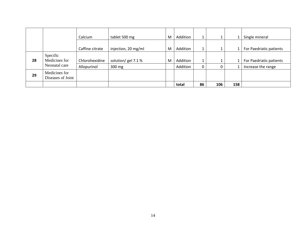|    |                                    | Calcium         | tablet 500 mg       | M | Addition | 1  |     |     | Single mineral          |
|----|------------------------------------|-----------------|---------------------|---|----------|----|-----|-----|-------------------------|
|    |                                    | Caffine citrate | injection, 20 mg/ml | M | Addition |    | J.  | 1   | For Paedriatic patients |
| 28 | Specific<br>Medicines for          | Chlorohexidine  | solution/ gel 7.1 % | M | Addition |    |     |     | For Paedriatic patients |
|    | Neonatal care                      | Allopurinol     | 300 mg              |   | Addition |    | 0   |     | Increase the range      |
| 29 | Medicines for<br>Diseases of Joint |                 |                     |   |          |    |     |     |                         |
|    |                                    |                 |                     |   | total    | 86 | 106 | 158 |                         |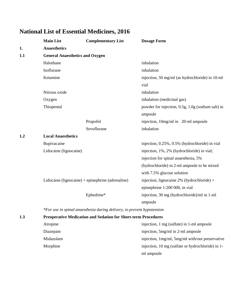|     | <b>Main List</b>                       | <b>Complementary List</b>                                              | <b>Dosage Form</b>                                |
|-----|----------------------------------------|------------------------------------------------------------------------|---------------------------------------------------|
| 1.  | <b>Anaesthetics</b>                    |                                                                        |                                                   |
| 1.1 | <b>General Anaesthetics and Oxygen</b> |                                                                        |                                                   |
|     | Halothane                              |                                                                        | inhalation                                        |
|     | Isoflurane                             |                                                                        | inhalation                                        |
|     | Ketamine                               |                                                                        | injection, 50 mg/ml (as hydrochloride) in 10-ml   |
|     |                                        |                                                                        | vial                                              |
|     | Nitrous oxide                          |                                                                        | inhalation                                        |
|     | Oxygen                                 |                                                                        | inhalation (medicinal gas)                        |
|     | Thiopental                             |                                                                        | powder for injection, 0.5g, 1.0g (sodium salt) in |
|     |                                        |                                                                        | ampoule                                           |
|     |                                        | Propofol                                                               | injection, 10mg/ml in 20-ml ampoule               |
|     |                                        | Sevoflurane                                                            | inhalation                                        |
| 1.2 | <b>Local Anaesthetics</b>              |                                                                        |                                                   |
|     | Bupivacaine                            |                                                                        | injection, 0.25%, 0.5% (hydrochloride) in vial    |
|     | Lidocaine (lignocaine)                 |                                                                        | injection, 1%, 2% (hydrochloride) in vial;        |
|     |                                        |                                                                        | injection for spinal anaesthesia, 5%              |
|     |                                        |                                                                        | (hydrochloride) in 2-ml ampoule to be mixed       |
|     |                                        |                                                                        | with 7.5% glucose solution                        |
|     |                                        | Lidocaine (lignocaine) + epinephrine (adrenaline)                      | injection, lignocaine $2\%$ (hydrochloride) +     |
|     |                                        |                                                                        | epinephrine 1:200 000, in vial                    |
|     |                                        | Ephedrine*                                                             | injection, 30 mg (hydrochloride)/ml in 1-ml       |
|     |                                        |                                                                        | ampoule                                           |
|     |                                        | *For use in spinal anaesthesia during delivery, to prevent hypotension |                                                   |
| 1.3 |                                        | <b>Preoperative Medication and Sedation for Short-term Procedures</b>  |                                                   |
|     | Atropine                               |                                                                        | injection, 1 mg (sulfate) in 1-ml ampoule         |
|     | Diazepam                               |                                                                        | injection, 5mg/ml in 2-ml ampoule                 |
|     | Midazolam                              |                                                                        | injection, 1mg/ml, 5mg/ml with/out preservative   |
|     | Morphine                               |                                                                        | injection, 10 mg (sulfate or hydrochloride) in 1- |
|     |                                        |                                                                        | ml ampoule                                        |

# **National List of Essential Medicines, 2016**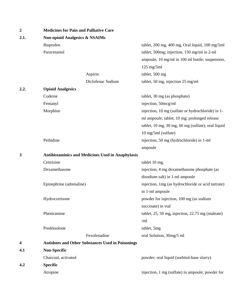| $\boldsymbol{2}$ | <b>Medicines for Pain and Palliative Care</b>            |                                                          |                                                    |  |  |  |  |
|------------------|----------------------------------------------------------|----------------------------------------------------------|----------------------------------------------------|--|--|--|--|
| 2.1.             | <b>Non-opioid Analgesics &amp; NSAIMs</b>                |                                                          |                                                    |  |  |  |  |
|                  | Ibuprofen                                                |                                                          | tablet, 200 mg, 400 mg, Oral liquid, 100 mg/5ml    |  |  |  |  |
|                  | Paracetamol                                              |                                                          | tablet, 500mg; injection, 150 mg/ml in 2-ml        |  |  |  |  |
|                  |                                                          |                                                          | ampoule, 10 mg/ml in 100 ml bottle; suspension,    |  |  |  |  |
|                  |                                                          |                                                          | $125$ mg/5ml                                       |  |  |  |  |
|                  |                                                          | Aspirin                                                  | tablet, 500 mg                                     |  |  |  |  |
|                  |                                                          | Diclofenac Sodium                                        | tablet, 50 mg, injection 25 mg/ml                  |  |  |  |  |
| 2.2.             | <b>Opioid Analgesics</b>                                 |                                                          |                                                    |  |  |  |  |
|                  | Codeine                                                  |                                                          | tablet, 30 mg (as phosphate)                       |  |  |  |  |
|                  | Fentanyl                                                 |                                                          | injection, 50mcg/ml                                |  |  |  |  |
|                  | Morphine                                                 |                                                          | injection, 10 mg (sulfate or hydrochloride) in 1-  |  |  |  |  |
|                  |                                                          |                                                          | ml ampoule; tablet, 10 mg; prolonged release       |  |  |  |  |
|                  |                                                          |                                                          | tablet, 10 mg, 30 mg, 60 mg (sulfate); oral liquid |  |  |  |  |
|                  |                                                          |                                                          | 10 mg/5ml (sulfate)                                |  |  |  |  |
|                  | Pethidine                                                |                                                          | injection, 50 mg (hydrochloride) in 1-ml           |  |  |  |  |
|                  |                                                          |                                                          | ampoule                                            |  |  |  |  |
| 3                | <b>Antihistaminics and Medicines Used in Anaphylaxis</b> |                                                          |                                                    |  |  |  |  |
|                  | Cetirizine                                               |                                                          | tablet 10 mg,                                      |  |  |  |  |
|                  | Dexamethasone                                            |                                                          | injection, 4 mg dexamethasone phosphate (as        |  |  |  |  |
|                  |                                                          |                                                          | disodium salt) in 1-ml ampoule                     |  |  |  |  |
|                  | Epinephrine (adrenaline)                                 |                                                          | injection, 1mg (as hydrochloride or acid tartrate) |  |  |  |  |
|                  |                                                          |                                                          | in 1-ml ampoule                                    |  |  |  |  |
|                  | Hydrocortisone                                           |                                                          | powder for injection, 100 mg (as sodium            |  |  |  |  |
|                  |                                                          |                                                          | succinate) in vial                                 |  |  |  |  |
|                  | Pheniramine                                              |                                                          | tablet, 25, 50 mg, injection, 22.75 mg (maleate)   |  |  |  |  |
|                  |                                                          |                                                          | /ml                                                |  |  |  |  |
|                  | Prednisolone                                             |                                                          | tablet, 5mg                                        |  |  |  |  |
|                  |                                                          | Fexofenadine                                             | oral Solution, 30mg/5 ml                           |  |  |  |  |
| 4                |                                                          | <b>Antidotes and Other Substances Used in Poisonings</b> |                                                    |  |  |  |  |
| 4.1              | Non-Specific                                             |                                                          |                                                    |  |  |  |  |
|                  | Charcoal, activated                                      |                                                          | powder; oral liquid (sorbitol-base slurry)         |  |  |  |  |
| 4.2              | <b>Specific</b>                                          |                                                          |                                                    |  |  |  |  |
|                  | Atropine                                                 |                                                          | injection, 1 mg (sulfate) in ampoule; powder for   |  |  |  |  |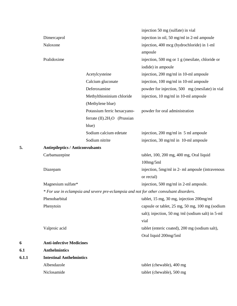|       |                                         |                                                                                         | injection 50 mg (sulfate) in vial                 |
|-------|-----------------------------------------|-----------------------------------------------------------------------------------------|---------------------------------------------------|
|       | Dimercaprol                             |                                                                                         | injection in oil, 50 mg/ml in 2-ml ampoule        |
|       | Naloxone                                |                                                                                         | injection, 400 mcg (hydrochloride) in 1-ml        |
|       |                                         |                                                                                         | ampoule                                           |
|       | Pralidoxime                             |                                                                                         | injection, 500 mg or 1 g (mesilate, chloride or   |
|       |                                         |                                                                                         | iodide) in ampoule                                |
|       |                                         | Acetylcysteine                                                                          | injection, 200 mg/ml in 10-ml ampoule             |
|       |                                         | Calcium gluconate                                                                       | injection, 100 mg/ml in 10-ml ampoule             |
|       |                                         | Deferoxamine                                                                            | powder for injection, 500 mg (mesilate) in vial   |
|       |                                         | Methylthioninium chloride                                                               | injection, 10 mg/ml in 10-ml ampoule              |
|       |                                         | (Methylene blue)                                                                        |                                                   |
|       |                                         | Potassium ferric hexacyano-                                                             | powder for oral administration                    |
|       |                                         | ferrate $(II)$ .2H <sub>2</sub> O (Prussian                                             |                                                   |
|       |                                         | blue)                                                                                   |                                                   |
|       |                                         | Sodium calcium edetate                                                                  | injection, 200 mg/ml in 5 ml ampoule              |
|       |                                         | Sodium nitrite                                                                          | injection, 30 mg/ml in 10-ml ampoule              |
| 5.    | <b>Antiepileptics / Anticonvulsants</b> |                                                                                         |                                                   |
|       | Carbamazepine                           |                                                                                         | tablet, 100, 200 mg, 400 mg, Oral liquid          |
|       |                                         |                                                                                         | $100$ mg/5ml                                      |
|       | Diazepam                                |                                                                                         | injection, 5mg/ml in 2- ml ampoule (intravenous   |
|       |                                         |                                                                                         | or rectal)                                        |
|       | Magnesium sulfate*                      |                                                                                         | injection, 500 mg/ml in 2-ml ampoule.             |
|       |                                         | * For use in eclampsia and severe pre-eclampsia and not for other convulsant disorders. |                                                   |
|       | Phenobarbital                           |                                                                                         | tablet, 15 mg, 30 mg, injection 200mg/ml          |
|       | Phenytoin                               |                                                                                         | capsule or tablet, 25 mg, 50 mg, 100 mg (sodium   |
|       |                                         |                                                                                         | salt); injection, 50 mg /ml (sodium salt) in 5-ml |
|       |                                         |                                                                                         | vial                                              |
|       | Valproic acid                           |                                                                                         | tablet (enteric coated), 200 mg (sodium salt),    |
|       |                                         |                                                                                         | Oral liquid 200mg/5ml                             |
| 6     | <b>Anti-infective Medicines</b>         |                                                                                         |                                                   |
| 6.1   | <b>Anthelmintics</b>                    |                                                                                         |                                                   |
| 6.1.1 | <b>Intestinal Anthelmintics</b>         |                                                                                         |                                                   |
|       | Albendazole                             |                                                                                         | tablet (chewable), 400 mg                         |
|       | Niclosamide                             |                                                                                         | tablet (chewable), 500 mg                         |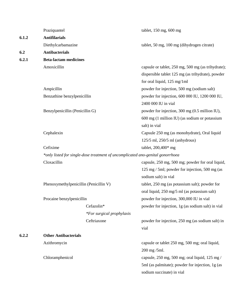|       | Praziquantel                           |                                                                                | tablet, 150 mg, 600 mg                             |  |
|-------|----------------------------------------|--------------------------------------------------------------------------------|----------------------------------------------------|--|
| 6.1.2 | <b>Antifilarials</b>                   |                                                                                |                                                    |  |
|       | Diethylcarbamazine                     |                                                                                | tablet, 50 mg, 100 mg (dihydrogen citrate)         |  |
| 6.2   | <b>Antibacterials</b>                  |                                                                                |                                                    |  |
| 6.2.1 | <b>Beta-lactam medicines</b>           |                                                                                |                                                    |  |
|       | Amoxicillin                            |                                                                                |                                                    |  |
|       |                                        |                                                                                | capsule or tablet, 250 mg, 500 mg (as trihydrate); |  |
|       |                                        |                                                                                | dispersible tablet 125 mg (as trihydrate), powder  |  |
|       |                                        |                                                                                | for oral liquid, $125 \text{ mg}/1 \text{ml}$      |  |
|       | Ampicillin                             |                                                                                | powder for injection, 500 mg (sodium salt)         |  |
|       | Benzathine benzylpenicillin            |                                                                                | powder for injection, 600 000 IU, 1200 000 IU,     |  |
|       |                                        |                                                                                | 2400 000 IU in vial                                |  |
|       | Benzylpenicillin (Penicillin G)        |                                                                                | powder for injection, 300 mg (0.5 million IU),     |  |
|       |                                        |                                                                                | 600 mg (1 million IU) (as sodium or potassium      |  |
|       |                                        |                                                                                | salt) in vial                                      |  |
|       | Cephalexin                             |                                                                                | Capsule 250 mg (as monohydrate), Oral liquid       |  |
|       |                                        |                                                                                | 125/5 ml, 250/5 ml (anhydrous)                     |  |
|       | Cefixime                               |                                                                                | tablet, $200,400*$ mg                              |  |
|       |                                        | *only listed for single-dose treatment of uncomplicated ano-genital gonorrhoea |                                                    |  |
|       | Cloxacillin                            |                                                                                | capsule, 250 mg, 500 mg; powder for oral liquid,   |  |
|       |                                        |                                                                                | 125 mg / 5ml; powder for injection, 500 mg (as     |  |
|       |                                        |                                                                                | sodium salt) in vial                               |  |
|       | Phenoxymethylpenicillin (Penicillin V) |                                                                                | tablet, 250 mg (as potassium salt); powder for     |  |
|       |                                        |                                                                                | oral liquid, 250 mg/5 ml (as potassium salt)       |  |
|       | Procaine benzylpenicillin              |                                                                                | powder for injection, 300,000 IU in vial           |  |
|       |                                        | Cefazolin*                                                                     | powder for injection, 1g (as sodium salt) in vial  |  |
|       |                                        | <i>*For surgical prophylaxis</i>                                               |                                                    |  |
|       |                                        | Ceftriaxone                                                                    | powder for injection, 250 mg (as sodium salt) in   |  |
|       |                                        |                                                                                | vial                                               |  |
| 6.2.2 | <b>Other Antibacterials</b>            |                                                                                |                                                    |  |
|       | Azithromycin                           |                                                                                | capsule or tablet 250 mg, 500 mg; oral liquid,     |  |
|       |                                        |                                                                                | 200 mg /5ml.                                       |  |
|       | Chloramphenicol                        |                                                                                | capsule, 250 mg, 500 mg; oral liquid, 125 mg /     |  |
|       |                                        |                                                                                | 5ml (as palmitate); powder for injection, 1g (as   |  |
|       |                                        |                                                                                | sodium succinate) in vial                          |  |
|       |                                        |                                                                                |                                                    |  |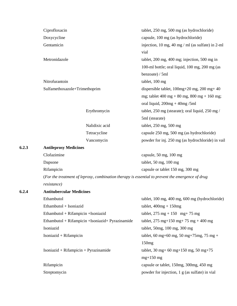|       | Ciprofloxacin                                      |                | tablet, 250 mg, 500 mg (as hydrochloride)                                                        |
|-------|----------------------------------------------------|----------------|--------------------------------------------------------------------------------------------------|
|       | Doxycycline                                        |                | capsule, 100 mg (as hydrochloride)                                                               |
|       | Gentamicin                                         |                | injection, 10 mg, 40 mg / ml (as sulfate) in 2-ml<br>vial                                        |
|       | Metronidazole                                      |                | tablet, 200 mg, 400 mg; injection, 500 mg in                                                     |
|       |                                                    |                | 100-ml bottle; oral liquid, 100 mg, 200 mg (as                                                   |
|       |                                                    |                | benzoate) / 5ml                                                                                  |
|       | Nitrofurantoin                                     |                | tablet, 100 mg                                                                                   |
|       | Sulfamethoxazole+Trimethoprim                      |                | dispersible tablet, $100mg+20$ mg, $200$ mg + $40$                                               |
|       |                                                    |                | mg; tablet 400 mg + 80 mg, 800 mg + 160 mg;                                                      |
|       |                                                    |                | oral liquid, $200mg + 40mg / 5ml$                                                                |
|       |                                                    | Erythromycin   | tablet, 250 mg (stearate); oral liquid, 250 mg /                                                 |
|       |                                                    |                | 5ml (stearate)                                                                                   |
|       |                                                    | Nalidixic acid | tablet, 250 mg, 500 mg                                                                           |
|       |                                                    | Tetracycline   | capsule 250 mg, 500 mg (as hydrochloride)                                                        |
|       |                                                    | Vancomycin     | powder for inj. 250 mg (as hydrochloride) in vail                                                |
| 6.2.3 | <b>Antileprosy Medicines</b>                       |                |                                                                                                  |
|       | Clofazimine                                        |                | capsule, 50 mg, 100 mg                                                                           |
|       | Dapsone                                            |                | tablet, $50 \text{ mg}$ , $100 \text{ mg}$                                                       |
|       | Rifampicin                                         |                | capsule or tablet 150 mg, 300 mg                                                                 |
|       |                                                    |                | (For the treatment of leprosy, combination therapy is essential to prevent the emergence of drug |
|       | resistance)                                        |                |                                                                                                  |
| 6.2.4 | <b>Antitubercular Medicines</b>                    |                |                                                                                                  |
|       | Ethambutol                                         |                | tablet, 100 mg, 400 mg, 600 mg (hydrochloride)                                                   |
|       | Ethambutol + Isoniazid                             |                | tablet, $400mg + 150mg$                                                                          |
|       | Ethambutol + Rifampicin + Isoniazid                |                | tablet, $275 \text{ mg} + 150 \text{ mg} + 75 \text{ mg}$                                        |
|       | Ethambutol + Rifampicin + Isoniazid + Pyrazinamide |                | tablet, 275 mg+150 mg+75 mg +400 mg                                                              |
|       | Isoniazid                                          |                | tablet, 50mg, 100 mg, 300 mg                                                                     |
|       | Isoniazid + Rifampicin                             |                | tablet, 60 mg+60 mg, 50 mg+75 mg, 75 mg +                                                        |
|       |                                                    |                | 150mg                                                                                            |
|       | $Isoniazid + Rifampicin + Pyrazinamide$            |                | tablet, 30 mg+ 60 mg+ 150 mg, 50 mg+ 75                                                          |
|       |                                                    |                | $mg+150$ mg                                                                                      |
|       | Rifampicin                                         |                | capsule or tablet, 150mg, 300mg, 450 mg                                                          |
|       | Streptomycin                                       |                | powder for injection, 1 g (as sulfate) in vial                                                   |
|       |                                                    |                |                                                                                                  |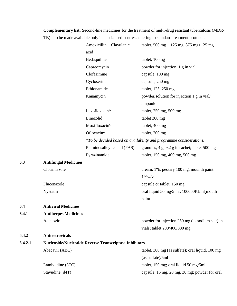**Complementary list:** Second-line medicines for the treatment of multi-drug resistant tuberculosis (MDR- TB) – to be made available only in specialised centres adhering to standard treatment protocol.

|         |                             | Amoxicillin + Clavulanic                                      | tablet, 500 mg + 125 mg, 875 mg + 125 mg                           |
|---------|-----------------------------|---------------------------------------------------------------|--------------------------------------------------------------------|
|         |                             | acid                                                          |                                                                    |
|         |                             | Bedaquiline                                                   | tablet, 100mg                                                      |
|         |                             | Capreomycin                                                   | powder for injection, 1 g in vial                                  |
|         |                             | Clofazimine                                                   | capsule, 100 mg                                                    |
|         |                             | Cycloserine                                                   | capsule, 250 mg                                                    |
|         |                             | Ethionamide                                                   | tablet, 125, 250 mg                                                |
|         |                             | Kanamycin                                                     | powder/solution for injection 1 g in vial/                         |
|         |                             |                                                               | ampoule                                                            |
|         |                             | Levofloxacin*                                                 | tablet, 250 mg, 500 mg                                             |
|         |                             | Linezolid                                                     | tablet 300 mg                                                      |
|         |                             | Moxifloxacin*                                                 | tablet, 400 mg                                                     |
|         |                             | Ofloxacin*                                                    | tablet, 200 mg                                                     |
|         |                             |                                                               | *To be decided based on availability and programme considerations. |
|         |                             | P-aminosalicylic acid (PAS)                                   | granules, 4 g, 9.2 g in sachet; tablet 500 mg                      |
|         |                             | Pyrazinamide                                                  | tablet, 150 mg, 400 mg, 500 mg                                     |
| 6.3     | <b>Antifungal Medicines</b> |                                                               |                                                                    |
|         | Clotrimazole                |                                                               | cream, 1%; pessary 100 mg, mounth paint                            |
|         |                             |                                                               | $1\%$ W/V                                                          |
|         | Fluconazole                 |                                                               | capsule or tablet, 150 mg                                          |
|         | Nystatin                    |                                                               | oral liquid 50 mg/5 ml, 100000IU/ml_mouth                          |
|         |                             |                                                               | paint                                                              |
| 6.4     | <b>Antiviral Medicines</b>  |                                                               |                                                                    |
| 6.4.1   | <b>Antiherpes Medicines</b> |                                                               |                                                                    |
|         | Aciclovir                   |                                                               | powder for injection 250 mg (as sodium salt) in                    |
|         |                             |                                                               | vials; tablet 200/400/800 mg                                       |
| 6.4.2   | <b>Antiretrovirals</b>      |                                                               |                                                                    |
| 6.4.2.1 |                             | <b>Nucleoside/Nucleotide Reverse Transcriptase Inhibitors</b> |                                                                    |
|         | Abacavir (ABC)              |                                                               | tablet, 300 mg (as sulfate); oral liquid, 100 mg                   |
|         |                             |                                                               | (as sulfate)/5ml                                                   |
|         | Lamivudine (3TC)            |                                                               | tablet, 150 mg; oral liquid 50 mg/5ml                              |
|         | Stavudine (d4T)             |                                                               | capsule, 15 mg, 20 mg, 30 mg; powder for oral                      |
|         |                             |                                                               |                                                                    |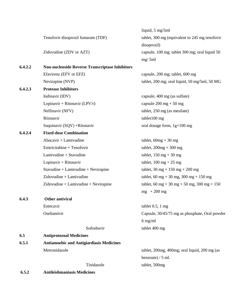|         |                                                        | liquid, 5 mg/5ml                                          |
|---------|--------------------------------------------------------|-----------------------------------------------------------|
|         | Tenofovir disoproxil fumarate (TDF)                    | tablet, 300 mg (equivalent to 245 mg tenofovir            |
|         |                                                        | disoproxil)                                               |
|         | Zidovudine (ZDV or AZT)                                | capsule, 100 mg; tablet 300 mg; oral liquid 50            |
|         |                                                        | mg/5ml                                                    |
| 6.4.2.2 | <b>Non-nucleoside Reverse Transcriptase Inhibitors</b> |                                                           |
|         | Efavirenz (EFV or EFZ)                                 | capsule, 200 mg; tablet, 600 mg                           |
|         | Nevirapine (NVP)                                       | tablet, 200 mg; oral liquid, 50 mg/5ml, 50 MG             |
| 6.4.2.3 | <b>Protease Inhibitors</b>                             |                                                           |
|         | Indinavir (IDV)                                        | capsule, 400 mg (as sulfate)                              |
|         | Lopinavir + Ritonavir (LPV/r)                          | capsule $200 \text{ mg} + 50 \text{ mg}$                  |
|         | Nelfinavir (NFV)                                       | tablet, 250 mg (as mesilate)                              |
|         | Ritonavir                                              | tablet100 mg                                              |
|         | Saquinavir (SQV) +Ritonavir                            | oral dosage form, 1g+100 mg                               |
| 6.4.2.4 | <b>Fixed-dose Combination</b>                          |                                                           |
|         | $Abacavir + Lamivudine$                                | tablet, $60mg + 30mg$                                     |
|         | Emtricitabine + Tenofovir                              | tablet, $200mg + 300mg$                                   |
|         | Lamivudine + Stavudine                                 | tablet, $150 \text{ mg} + 30 \text{ mg}$                  |
|         | Lopinavir + Ritonavir                                  | tablet, $100 \text{ mg} + 25 \text{ mg}$                  |
|         | $Stavudine + Lamivudine + Nevirapine$                  | tablet, $30 \text{ mg} + 150 \text{ mg} + 200 \text{ mg}$ |
|         | Zidovudine + Lamivudine                                | tablet, 60 mg + 30 mg, 300 mg + 150 mg                    |
|         | $Zidovudine + Lamivudine + Nevirapine$                 | tablet, 60 mg + 30 mg + 50 mg, 300 mg + 150               |
|         |                                                        | $mg + 200$ mg                                             |
| 6.4.3   | Other antiviral                                        |                                                           |
|         | Entecavir                                              | tablet $0.5$ , 1 mg                                       |
|         | Oseltamivir                                            | Capsule, 30/45/75 mg as phosphate, Oral powder            |
|         |                                                        | $6$ mg/ml                                                 |
|         | Sofosbuvir                                             | tablet 400 mg                                             |
| 6.5     | <b>Antiprotozoal Medicines</b>                         |                                                           |
| 6.5.1   | <b>Antiamoebic and Antigiardiasis Medicines</b>        |                                                           |
|         | Metronidazole                                          | tablet, 200mg, 400mg; oral liquid, 200 mg (as             |
|         |                                                        | benzoate) $/5$ ml.                                        |
|         | Tinidazole                                             | tablet, 500mg                                             |
| 6.5.2   | <b>Antileishmaniasis Medicines</b>                     |                                                           |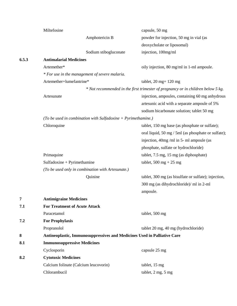|       | Miltefosine                          |                                                                          | capsule, 50 mg                                                                   |
|-------|--------------------------------------|--------------------------------------------------------------------------|----------------------------------------------------------------------------------|
|       |                                      | Amphotericin B                                                           | powder for injection, 50 mg in vial (as                                          |
|       |                                      |                                                                          | deoxycholate or liposomal)                                                       |
|       |                                      | Sodium stibogluconate                                                    | injection, 100mg/ml                                                              |
| 6.5.3 | <b>Antimalarial Medicines</b>        |                                                                          |                                                                                  |
|       | Artemether*                          |                                                                          | oily injection, 80 mg/ml in 1-ml ampoule.                                        |
|       |                                      | * For use in the management of severe malaria.                           |                                                                                  |
|       | Artemether+lumefantrine*             |                                                                          | tablet, $20$ mg + $120$ mg                                                       |
|       |                                      |                                                                          | * Not recommended in the first trimester of pregnancy or in children below 5 kg. |
|       | Artesunate                           |                                                                          | injection, ampoules, containing 60 mg anhydrous                                  |
|       |                                      |                                                                          | artesunic acid with a separate ampoule of 5%                                     |
|       |                                      |                                                                          | sodium bicarbonate solution; tablet 50 mg                                        |
|       |                                      | (To be used in combination with Sulfadoxine $+$ Pyrimethamine.)          |                                                                                  |
|       | Chloroquine                          |                                                                          | tablet, 150 mg base (as phosphate or sulfate);                                   |
|       |                                      |                                                                          | oral liquid, 50 mg / 5ml (as phosphate or sulfate);                              |
|       |                                      |                                                                          | injection, 40mg/ml in 5- ml ampoule (as                                          |
|       |                                      |                                                                          | phosphate, sulfate or hydrochloride)                                             |
|       | Primaquine                           |                                                                          | tablet, 7.5 mg, 15 mg (as diphosphate)                                           |
|       | $Sulfadoxine + Pyrimethamine$        |                                                                          | tablet, $500 \text{ mg} + 25 \text{ mg}$                                         |
|       |                                      | (To be used only in combination with Artesunate.)                        |                                                                                  |
|       |                                      | Quinine                                                                  | tablet, 300 mg (as bisulfate or sulfate); injection,                             |
|       |                                      |                                                                          | 300 mg (as dihydrochloride)/ ml in 2-ml                                          |
|       |                                      |                                                                          | ampoule.                                                                         |
| 7     | <b>Antimigraine Medicines</b>        |                                                                          |                                                                                  |
| 7.1   | <b>For Treatment of Acute Attack</b> |                                                                          |                                                                                  |
|       | Paracetamol                          |                                                                          | tablet, 500 mg                                                                   |
| 7.2   | <b>For Prophylaxis</b>               |                                                                          |                                                                                  |
|       | Propranolol                          |                                                                          | tablet 20 mg, 40 mg (hydrochloride)                                              |
| 8     |                                      | Antineoplastic, Immunosuppressives and Medicines Used in Palliative Care |                                                                                  |
| 8.1   | <b>Immunosuppressive Medicines</b>   |                                                                          |                                                                                  |
|       | Cyclosporin                          |                                                                          | capsule 25 mg                                                                    |
| 8.2   | <b>Cytotoxic Medicines</b>           |                                                                          |                                                                                  |
|       |                                      | Calcium folinate (Calcium leucovorin)                                    | tablet, 15 mg                                                                    |
|       | Chlorambucil                         |                                                                          | tablet, 2 mg, 5 mg                                                               |
|       |                                      |                                                                          |                                                                                  |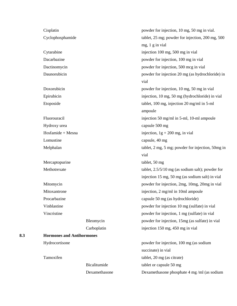|     |                                  | Bicalitumide<br>Dexamethasone | tablet or capsule 50 mg<br>Dexamethasone phosphate 4 mg/ml (as sodium |
|-----|----------------------------------|-------------------------------|-----------------------------------------------------------------------|
|     | Tamoxifen                        |                               | tablet, 20 mg (as citrate)                                            |
|     |                                  |                               | succinate) in vial                                                    |
|     | Hydrocortisone                   |                               | powder for injection, 100 mg (as sodium                               |
| 8.3 | <b>Hormones and Antihormones</b> |                               |                                                                       |
|     |                                  | Carboplatin                   | injection 150 mg, 450 mg in vial                                      |
|     |                                  | Bleomycin                     | powder for injection, 15mg (as sulfate) in vial                       |
|     | Vincristine                      |                               | powder for injection, 1 mg (sulfate) in vial                          |
|     | Vinblastine                      |                               | powder for injection 10 mg (sulfate) in vial                          |
|     | Procarbazine                     |                               | capsule 50 mg (as hydrochloride)                                      |
|     | Mitoxantrone                     |                               | injection, 2 mg/ml in 10ml ampoule                                    |
|     | Mitomycin                        |                               | powder for injection, 2mg, 10mg, 20mg in vial                         |
|     |                                  |                               | injection 15 mg, 50 mg (as sodium salt) in vial                       |
|     | Methotrexate                     |                               | tablet, $2.5/5/10$ mg (as sodium salt); powder for                    |
|     | Mercaptopurine                   |                               | tablet, 50 mg                                                         |
|     |                                  |                               | vial                                                                  |
|     | Melphalan                        |                               | tablet, 2 mg, 5 mg; powder for injection, 50mg in                     |
|     | Lomustine                        |                               | capsule, 40 mg                                                        |
|     | Ifosfamide + Mesna               |                               | injection, $1g + 200$ mg, in vial                                     |
|     | Hydroxy urea                     |                               | capsule 500 mg                                                        |
|     | Fluorouracil                     |                               | injection 50 mg/ml in 5-ml, 10-ml ampoule                             |
|     |                                  |                               | ampoule                                                               |
|     | Etoposide                        |                               | tablet, 100 mg, injection 20 mg/ml in 5-ml                            |
|     | Epirubicin                       |                               | injection, 10 mg, 50 mg (hydrochloride) in vial                       |
|     | Doxorubicin                      |                               | powder for injection, 10 mg, 50 mg in vial                            |
|     |                                  |                               | vial                                                                  |
|     | Daunorubicin                     |                               | powder for injection 20 mg (as hydrochloride) in                      |
|     | Dactinomycin                     |                               | powder for injection, 500 mcg in vial                                 |
|     | Dacarbazine                      |                               | powder for injection, 100 mg in vial                                  |
|     | Cytarabine                       |                               | injection 100 mg, 500 mg in vial                                      |
|     | Cyclophosphamide                 |                               | tablet, 25 mg; powder for injection, 200 mg, 500<br>mg, 1 g in vial   |
|     |                                  |                               |                                                                       |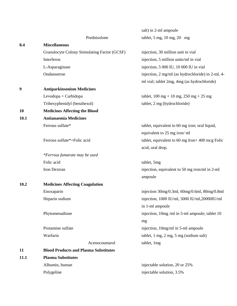|      |                                              | salt) in 2-ml ampoule                                                       |  |  |  |  |
|------|----------------------------------------------|-----------------------------------------------------------------------------|--|--|--|--|
|      | Prednisolone                                 | tablet, $5 \text{ mg}$ , $10 \text{ mg}$ , $20 \text{ mg}$                  |  |  |  |  |
| 8.4  | <b>Miscellaneous</b>                         |                                                                             |  |  |  |  |
|      | Granulocyte Colony Stimulating Factor (GCSF) | injection, 30 million unit in vial                                          |  |  |  |  |
|      | Interferon                                   | injection, 5 million units/ml in vial                                       |  |  |  |  |
|      | L-Asparaginase                               | injection, 5 000 IU, 10 000 IU in vial                                      |  |  |  |  |
|      | Ondansetron                                  | injection, 2 mg/ml (as hydrochloride) in 2-ml, 4-                           |  |  |  |  |
|      |                                              | ml vial; tablet 2mg, 4mg (as hydrochloride)                                 |  |  |  |  |
| 9    | <b>Antiparkinsonism Medicines</b>            |                                                                             |  |  |  |  |
|      | Levodopa + Carbidopa                         | tablet, $100 \text{ mg} + 10 \text{ mg}$ , $250 \text{ mg} + 25 \text{ mg}$ |  |  |  |  |
|      | Trihexyphenidyl (benzhexol)                  | tablet, 2 mg (hydrochloride)                                                |  |  |  |  |
| 10   | <b>Medicines Affecting the Blood</b>         |                                                                             |  |  |  |  |
| 10.1 | <b>Antianaemia Medicines</b>                 |                                                                             |  |  |  |  |
|      | Ferrous sulfate*                             | tablet, equivalent to 60 mg iron; oral liquid,                              |  |  |  |  |
|      |                                              | equivalent to 25 mg iron/ml                                                 |  |  |  |  |
|      | Ferrous sulfate*+Folic acid                  | tablet, equivalent to 60 mg Iron $+$ 400 mcg Folic                          |  |  |  |  |
|      |                                              | acid, oral drop.                                                            |  |  |  |  |
|      | *Ferrous fumarate may be used                |                                                                             |  |  |  |  |
|      | Folic acid                                   | tablet, 5mg                                                                 |  |  |  |  |
|      | Iron Dextran                                 | injection, equivalent to 50 mg iron/ml in 2-ml                              |  |  |  |  |
|      |                                              | ampoule                                                                     |  |  |  |  |
| 10.2 | <b>Medicines Affecting Coagulation</b>       |                                                                             |  |  |  |  |
|      | Enoxaparin                                   | injection 30mg/0.3ml, 60mg/0.6ml, 80mg/0.8ml                                |  |  |  |  |
|      | Heparin sodium                               | injection, 1000 IU/ml, 5000 IU/ml, 20000IU/ml                               |  |  |  |  |
|      |                                              | in 1-ml ampoule                                                             |  |  |  |  |
|      | Phytomenadione                               | injection, 10mg/ml in 5-ml ampoule; tablet 10                               |  |  |  |  |
|      |                                              | mg                                                                          |  |  |  |  |
|      | Protamine sulfate                            | injection, 10mg/ml in 5-ml ampoule                                          |  |  |  |  |
|      | Warfarin                                     | tablet, 1 mg, 2 mg, 5 mg (sodium salt)                                      |  |  |  |  |
|      | Acenocoumarol                                | tablet, 1mg                                                                 |  |  |  |  |
| 11   | <b>Blood Products and Plasma Substitutes</b> |                                                                             |  |  |  |  |
| 11.1 | <b>Plasma Substitutes</b>                    |                                                                             |  |  |  |  |
|      | Albumin, human                               | injectable solution, 20 or 25%                                              |  |  |  |  |
|      | Polygeline                                   | injectable solution, 3.5%                                                   |  |  |  |  |
|      |                                              |                                                                             |  |  |  |  |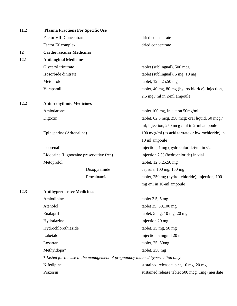| 11.2 | <b>Plasma Fractions For Specific Use</b>                                       |                                                   |  |  |  |  |
|------|--------------------------------------------------------------------------------|---------------------------------------------------|--|--|--|--|
|      | <b>Factor VIII Concentrate</b>                                                 | dried concentrate                                 |  |  |  |  |
|      | Factor IX complex                                                              | dried concentrate                                 |  |  |  |  |
| 12   | <b>Cardiovascular Medicines</b>                                                |                                                   |  |  |  |  |
| 12.1 | <b>Antianginal Medicines</b>                                                   |                                                   |  |  |  |  |
|      | Glyceryl trinitrate                                                            | tablet (sublingual), 500 mcg                      |  |  |  |  |
|      | Isosorbide dinitrate                                                           | tablet (sublingual), 5 mg, 10 mg                  |  |  |  |  |
|      | Metoprolol                                                                     | tablet, 12.5,25,50 mg                             |  |  |  |  |
|      | Verapamil                                                                      | tablet, 40 mg, 80 mg (hydrochloride); injection,  |  |  |  |  |
|      |                                                                                | 2.5 mg / ml in 2-ml ampoule                       |  |  |  |  |
| 12.2 | <b>Antiarrhythmic Medicines</b>                                                |                                                   |  |  |  |  |
|      | Amiodarone                                                                     | tablet 100 mg, injection 50mg/ml                  |  |  |  |  |
|      | Digoxin                                                                        | tablet, 62.5 mcg, 250 mcg; oral liquid, 50 mcg /  |  |  |  |  |
|      |                                                                                | ml; injection, 250 mcg / ml in 2-ml ampoule       |  |  |  |  |
|      | Epinephrine (Adrenaline)                                                       | 100 mcg/ml (as acid tartrate or hydrochloride) in |  |  |  |  |
|      |                                                                                | 10 ml ampoule                                     |  |  |  |  |
|      | Isoprenaline                                                                   | injection, 1 mg (hydrochloride)/ml in vial        |  |  |  |  |
|      | Lidocaine (Lignocaine preservative free)                                       | injection 2 % (hydrochloride) in vial             |  |  |  |  |
|      | Metoprolol                                                                     | tablet, 12.5,25,50 mg                             |  |  |  |  |
|      | Disopyramide                                                                   | capsule, 100 mg, 150 mg                           |  |  |  |  |
|      | Procainamide                                                                   | tablet, 250 mg (hydro-chloride); injection, 100   |  |  |  |  |
|      |                                                                                | mg/ml in 10-ml ampoule                            |  |  |  |  |
| 12.3 | <b>Antihypertensive Medicines</b>                                              |                                                   |  |  |  |  |
|      | Amlodipine                                                                     | tablet $2.5$ , $5 \text{ mg}$                     |  |  |  |  |
|      | Atenolol                                                                       | tablet 25, 50,100 mg                              |  |  |  |  |
|      | Enalapril                                                                      | tablet, 5 mg, 10 mg, 20 mg                        |  |  |  |  |
|      | Hydralazine                                                                    | injection 20 mg                                   |  |  |  |  |
|      | Hydrochlorothiazide                                                            | tablet, 25 mg, 50 mg                              |  |  |  |  |
|      | Labetalol                                                                      | injection 5 mg/ml 20 ml                           |  |  |  |  |
|      | Losartan                                                                       | tablet, 25, 50mg                                  |  |  |  |  |
|      | Methyldopa*                                                                    | tablet, 250 mg                                    |  |  |  |  |
|      | * Listed for the use in the management of pregnanacy induced hypertention only |                                                   |  |  |  |  |
|      | Nifedipine                                                                     | sustained release tablet, 10 mg, 20 mg            |  |  |  |  |
|      | Prazosin                                                                       | sustained release tablet 500 mcg, 1mg (mesilate)  |  |  |  |  |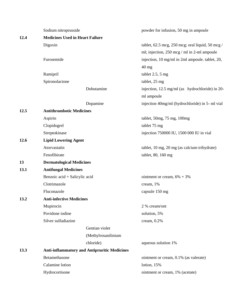|      | Sodium nitroprusside                   |                                                     | powder for infusion, 50 mg in ampoule            |  |
|------|----------------------------------------|-----------------------------------------------------|--------------------------------------------------|--|
| 12.4 | <b>Medicines Used in Heart Failure</b> |                                                     |                                                  |  |
|      | Digoxin                                |                                                     | tablet, 62.5 mcg, 250 mcg; oral liquid, 50 mcg / |  |
|      |                                        |                                                     | ml; injection, 250 mcg / ml in 2-ml ampoule      |  |
|      | Furosemide<br>Ramipril                 |                                                     | injection, 10 mg/ml in 2ml ampoule. tablet, 20,  |  |
|      |                                        |                                                     | $40$ mg                                          |  |
|      |                                        |                                                     | tablet $2.5$ , $5 \text{ mg}$                    |  |
|      | Spironolactone                         |                                                     | tablet, 25 mg                                    |  |
|      |                                        | Dobutamine                                          | injection, 12.5 mg/ml (as hydrochloride) in 20-  |  |
|      |                                        |                                                     | ml ampoule                                       |  |
|      |                                        | Dopamine                                            | injection 40mg/ml (hydrochloride) in 5- ml vial  |  |
| 12.5 | <b>Antithrombotic Medicines</b>        |                                                     |                                                  |  |
|      | Aspirin                                |                                                     | tablet, 50mg, 75 mg, 100mg                       |  |
|      | Clopidogrel                            |                                                     | tablet 75 mg                                     |  |
|      | Streptokinase                          |                                                     | injection 750000 IU, 1500 000 IU in vial         |  |
| 12.6 | <b>Lipid Lowering Agent</b>            |                                                     |                                                  |  |
|      | Atorvastatin                           |                                                     | tablet, 10 mg, 20 mg (as calcium trihydrate)     |  |
|      | Fenofibirate                           |                                                     | tablet, 80, 160 mg                               |  |
| 13   | <b>Dermatological Medicines</b>        |                                                     |                                                  |  |
| 13.1 | <b>Antifungal Medicines</b>            |                                                     |                                                  |  |
|      | Benzoic acid + Salicylic acid          |                                                     | ointment or cream, $6\% + 3\%$                   |  |
|      | Clotrimazole                           |                                                     | cream, 1%                                        |  |
|      | Fluconazole                            |                                                     | capsule 150 mg                                   |  |
| 13.2 | <b>Anti-infective Medicines</b>        |                                                     |                                                  |  |
|      | Mupirocin                              |                                                     | 2 % cream/ont                                    |  |
|      | Povidone iodine                        |                                                     | solution, 5%                                     |  |
|      | Silver sulfadiazine                    |                                                     | cream, 0.2%                                      |  |
|      |                                        | Gentian violet                                      |                                                  |  |
|      |                                        | (Methylrosanilinium                                 |                                                  |  |
|      |                                        | chloride)                                           | aqueous solution 1%                              |  |
| 13.3 |                                        | <b>Anti-inflammatory and Antipruritic Medicines</b> |                                                  |  |
|      | Betamethasone                          |                                                     | ointment or cream, 0.1% (as valerate)            |  |
|      | Calamine lotion                        |                                                     | lotion, 15%                                      |  |
|      | Hydrocortisone                         |                                                     | ointment or cream, 1% (acetate)                  |  |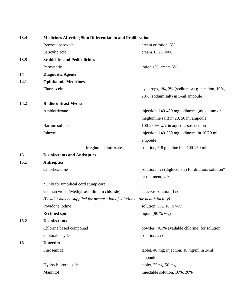| 13.4 | <b>Medicines Affecting Skin Differentiation and Proliferation</b>           |                                                    |  |
|------|-----------------------------------------------------------------------------|----------------------------------------------------|--|
|      | Benzoyl peroxide                                                            | cream or lotion, 5%                                |  |
|      | Salicylic acid                                                              | cream10, 20, 40%                                   |  |
| 13.5 | <b>Scabicides and Pediculicides</b>                                         |                                                    |  |
|      | Permethrin                                                                  | lotion 1%, cream 5%                                |  |
| 14   | <b>Diagnostic Agents</b>                                                    |                                                    |  |
| 14.1 | <b>Ophthalmic Medicines</b>                                                 |                                                    |  |
|      | Fluorescein                                                                 | eye drops, 1%, 2% (sodium salt); injection, 10%,   |  |
|      |                                                                             | 20% (sodium salt) in 5-ml ampoule                  |  |
| 14.2 | <b>Radiocontrast Media</b>                                                  |                                                    |  |
|      | Amidotrizoate                                                               | injection, 140-420 mg iodine/ml (as sodium or      |  |
|      |                                                                             | meglumine salt) in 20, 50 ml ampoule               |  |
|      | Barium sulfate                                                              | 100-250% $w/v$ in aqueous suspension               |  |
|      | Iohexol                                                                     | injection, 140-350 mg iodine/ml in 10/20 ml        |  |
|      |                                                                             | ampoule                                            |  |
|      | Meglumine iotroxate                                                         | solution, 5-8 g iodine in 100-250 ml               |  |
| 15   | <b>Disinfectants and Antiseptics</b>                                        |                                                    |  |
| 15.1 | <b>Antiseptics</b>                                                          |                                                    |  |
|      | Chlorhexidine                                                               | solution, 5% (digluconate) for dilution, solution* |  |
|      |                                                                             | or ointment, 4 %                                   |  |
|      | *Only for umbilical cord stump care                                         |                                                    |  |
|      | Gentian violet (Methylrosanilinium chloride)                                | aqueous solution, 1%                               |  |
|      | (Powder may be supplied for preparation of solution at the health facility) |                                                    |  |
|      | Povidone iodine                                                             | solution, 5%, 10 % $w/v$                           |  |
|      | Rectified spirit                                                            | liquid (90 % $v/v$ )                               |  |
| 15.2 | <b>Disinfectants</b>                                                        |                                                    |  |
|      | Chlorine based compound                                                     | powder, (0.1% available chlorine) for solution     |  |
|      | Glutaraldehyde                                                              | solution, 2%                                       |  |
| 16   | <b>Diuretics</b>                                                            |                                                    |  |
|      | Furosemide                                                                  | tablet, 40 mg; injection, 10 mg/ml in 2-ml         |  |
|      |                                                                             | ampoule                                            |  |
|      | Hydrochlorothiazide                                                         | tablet, 25mg, 50 mg                                |  |
|      | Mannitol                                                                    | injectable solution, 10%, 20%                      |  |
|      |                                                                             |                                                    |  |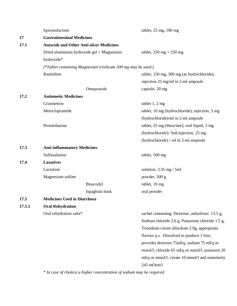|        | Spironolactone                                                 | tablet, $25 \text{ mg}$ , $100 \text{ mg}$       |  |
|--------|----------------------------------------------------------------|--------------------------------------------------|--|
| 17     | <b>Gastrointestinal Medicines</b>                              |                                                  |  |
| 17.1   | <b>Antacids and Other Anti-ulcer Medicines</b>                 |                                                  |  |
|        | Dried aluminium hydroxide gel + Magnesium                      | tablet, $250 \text{ mg} + 250 \text{ mg}$        |  |
|        | hydroxide*                                                     |                                                  |  |
|        | (*Tablet containing Magnesium trisilicate 500 mg may be used.) |                                                  |  |
|        | Ranitidine                                                     | tablet, 150 mg, 300 mg (as hydrochloride);       |  |
|        |                                                                | injection 25 mg/ml in 2-ml ampoule               |  |
|        | Omeprazole                                                     | capsule, 20 mg                                   |  |
| 17.2   | <b>Antiemetic Medicines</b>                                    |                                                  |  |
|        | Granisetron                                                    | tablet 1, 2 mg                                   |  |
|        | Metoclopramide                                                 | tablet, 10 mg (hydrochloride); injection, 5 mg   |  |
|        |                                                                | (hydrochloride)/ml in 2-ml ampoule               |  |
|        | Promethazine                                                   | tablet, 25 mg (theoclate); oral liquid, 5 mg     |  |
|        |                                                                | (hydrochloride)/ 5ml;injection, 25 mg            |  |
|        |                                                                | (hydrochloride) / ml in 2-ml ampoule             |  |
| 17.3   | <b>Anti-inflammatory Medicines</b>                             |                                                  |  |
|        | Sulfasalazine                                                  | tablet, 500 mg                                   |  |
| 17.4   | <b>Laxatives</b>                                               |                                                  |  |
|        | Lactulose                                                      | solution, $3.35$ mg $/ 5$ ml                     |  |
|        | Magnesium sulfate                                              | powder, 500 g                                    |  |
|        | Bisacodyl                                                      | tablet, 10 mg                                    |  |
|        | Ispaghula husk                                                 | oral powder                                      |  |
| 17.5   | <b>Medicines Used in Diarrhoea</b>                             |                                                  |  |
| 17.5.1 | <b>Oral Rehydration</b>                                        |                                                  |  |
|        | Oral rehydration salts*                                        | sachet containing: Dextrose, anhydrous 13.5 g,   |  |
|        |                                                                | Sodium chloride 2.6 g, Potassium chloride 1.5 g, |  |
|        |                                                                | Trisodium citrate dihydrate 2.9g, appropriate    |  |
|        |                                                                | flavour q.s. Dissolved to produce 1 litre,       |  |
|        |                                                                | provides dextrose 75mEq, sodium 75 mEq or        |  |
|        |                                                                | mmol/l, chloride 65 mEq or mmol/l, potasium 20   |  |
|        |                                                                | mEq or mmol/l, citrate 10 mmol/l and osmolarity  |  |
|        |                                                                | 245 mOsm/l                                       |  |

*\* In case of cholera a higher concentration of sodium may be required.*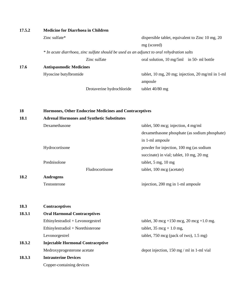| 17.5.2 | <b>Medicine for Diarrhoea in Children</b>                                                 |                                                             |  |  |  |
|--------|-------------------------------------------------------------------------------------------|-------------------------------------------------------------|--|--|--|
|        | Zinc sulfate*                                                                             | dispersible tablet, equivalent to Zinc 10 mg, 20            |  |  |  |
|        |                                                                                           | mg (scored)                                                 |  |  |  |
|        | * In acute diarrhoea, zinc sulfate should be used as an adjunct to oral rehydration salts |                                                             |  |  |  |
|        | Zinc sulfate                                                                              | oral solution, 10 mg/5ml in 50- ml bottle                   |  |  |  |
| 17.6   | <b>Antispasmodic Medicines</b>                                                            |                                                             |  |  |  |
|        | Hyoscine butylbromide                                                                     | tablet, 10 mg, 20 mg; injection, 20 mg/ml in 1-ml           |  |  |  |
|        |                                                                                           | ampoule                                                     |  |  |  |
|        | Drotaverine hydrochloride                                                                 | tablet 40/80 mg                                             |  |  |  |
| 18     | Hormones, Other Endocrine Medicines and Contraceptives                                    |                                                             |  |  |  |
| 18.1   | <b>Adrenal Hormones and Synthetic Substitutes</b>                                         |                                                             |  |  |  |
|        | Dexamethasone                                                                             | tablet, 500 mcg; injection, 4 mg/ml                         |  |  |  |
|        |                                                                                           | dexamethasone phosphate (as sodium phosphate)               |  |  |  |
|        |                                                                                           | in 1-ml ampoule                                             |  |  |  |
|        | Hydrocortisone                                                                            | powder for injection, 100 mg (as sodium                     |  |  |  |
|        |                                                                                           | succinate) in vial; tablet, 10 mg, 20 mg                    |  |  |  |
|        | Prednisolone                                                                              | tablet, 5 mg, 10 mg                                         |  |  |  |
|        | Fludrocortisone                                                                           | tablet, 100 mcg (acetate)                                   |  |  |  |
| 18.2   | <b>Androgens</b>                                                                          |                                                             |  |  |  |
|        | Testosterone                                                                              | injection, 200 mg in 1-ml ampoule                           |  |  |  |
| 18.3   | <b>Contraceptives</b>                                                                     |                                                             |  |  |  |
| 18.3.1 | <b>Oral Harmonal Contraceptives</b>                                                       |                                                             |  |  |  |
|        | Ethinylestradiol + Levonorgestrel                                                         | tablet, 30 mcg +150 mcg, 20 mcg +1.0 mg.                    |  |  |  |
|        | Ethinylestradiol + Norethisterone                                                         | tablet, $35 \text{ mcg} + 1.0 \text{ mg}$ ,                 |  |  |  |
|        | Levonorgestrel                                                                            | tablet, $750 \text{ mcg}$ (pack of two), $1.5 \text{ mg}$ ) |  |  |  |
| 18.3.2 | <b>Injectable Hormonal Contraceptive</b>                                                  |                                                             |  |  |  |
|        | Medroxyprogesterone acetate                                                               | depot injection, 150 mg / ml in 1-ml vial                   |  |  |  |
| 18.3.3 | <b>Intrauterine Devices</b>                                                               |                                                             |  |  |  |
|        | Copper-containing devices                                                                 |                                                             |  |  |  |
|        |                                                                                           |                                                             |  |  |  |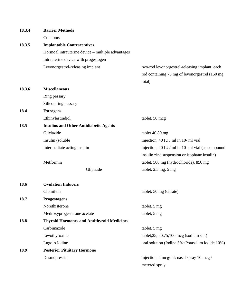| 18.3.4 | <b>Barrier Methods</b>                            |                                                      |
|--------|---------------------------------------------------|------------------------------------------------------|
|        | Condoms                                           |                                                      |
| 18.3.5 | <b>Implantable Contraceptives</b>                 |                                                      |
|        | Hormoal intrauterine device - multiple advantages |                                                      |
|        | Intrauterine device with progestogen              |                                                      |
|        | Levonorgestrel-releasing implant                  | two-rod levonorgestrel-releasing implant, each       |
|        |                                                   | rod containing 75 mg of levonorgestrel (150 mg       |
|        |                                                   | total)                                               |
| 18.3.6 | <b>Miscellaneous</b>                              |                                                      |
|        | Ring pessary                                      |                                                      |
|        | Silicon ring pessary                              |                                                      |
| 18.4   | <b>Estrogens</b>                                  |                                                      |
|        | Ethinylestradiol                                  | tablet, 50 mcg                                       |
| 18.5   | <b>Insulins and Other Antidiabetic Agents</b>     |                                                      |
|        | Gliclazide                                        | tablet 40,80 mg                                      |
|        | Insulin (soluble                                  | injection, 40 IU / ml in 10- ml vial                 |
|        | Intermediate acting insulin                       | injection, 40 IU / ml in 10- ml vial (as compound    |
|        |                                                   | insulin zinc suspension or isophane insulin)         |
|        | Metformin                                         | tablet, 500 mg (hydrochloride), 850 mg               |
|        | Glipizide                                         | tablet, $2.5$ mg, $5$ mg                             |
| 18.6   | <b>Ovulation Inducers</b>                         |                                                      |
|        | Clomifene                                         | tablet, 50 mg (citrate)                              |
| 18.7   | Progestogens                                      |                                                      |
|        | Norethisterone                                    | tablet, 5 mg                                         |
|        | Medroxyprogesterone acetate                       | tablet, 5 mg                                         |
| 18.8   | <b>Thyroid Hormones and Antithyroid Medicines</b> |                                                      |
|        | Carbimazole                                       | tablet, 5 mg                                         |
|        | Levothyroxine                                     | tablet, $25$ , $50$ , $75$ , $100$ mcg (sodium salt) |
|        | Lugol's Iodine                                    | oral solution (Iodine 5%+Potassium iodide 10%)       |
| 18.9   | <b>Posterior Pituitary Hormone</b>                |                                                      |
|        | Desmopressin                                      | injection, 4 mcg/ml; nasal spray 10 mcg /            |
|        |                                                   | metered spray                                        |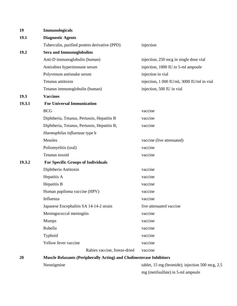| 19     | Immunologicals                                                              |                                                 |  |
|--------|-----------------------------------------------------------------------------|-------------------------------------------------|--|
| 19.1   | <b>Diagnostic Agents</b>                                                    |                                                 |  |
|        | Tuberculin, purified protein derivative (PPD)                               | injection                                       |  |
| 19.2   | <b>Sera and Immunoglobulins</b>                                             |                                                 |  |
|        | Anti-D immunoglobulin (human)                                               | injection, 250 mcg in single dose vial          |  |
|        | Antirabies hyperimmune serum                                                | injection, 1000 IU in 5-ml ampoule              |  |
|        | Polyvenum antisnake serum                                                   | injection in vial                               |  |
|        | Tetanus antitoxin                                                           | injection, 1 000 IU/ml, 3000 IU/ml in vial      |  |
|        | Tetanus immunoglobulin (human)                                              | injection, 500 IU in vial                       |  |
| 19.3   | <b>Vaccines</b>                                                             |                                                 |  |
| 19.3.1 | <b>For Universal Immunization</b>                                           |                                                 |  |
|        | <b>BCG</b>                                                                  | vaccine                                         |  |
|        | Diphtheria, Tetanus, Pertussis, Hepatitis B                                 | vaccine                                         |  |
|        | Diphtheria, Tetanus, Pertussis, Hepatitis B,                                | vaccine                                         |  |
|        | Haemophilus influenzae type b                                               |                                                 |  |
|        | Measles                                                                     | vaccine (live attenuated)                       |  |
|        | Poliomyelitis (oral)                                                        | vaccine                                         |  |
|        | Tetanus toxoid                                                              | vaccine                                         |  |
| 19.3.2 | <b>For Specific Groups of Individuals</b>                                   |                                                 |  |
|        | Diphtheria Antitoxin                                                        | vaccine                                         |  |
|        | Hepatitis A                                                                 | vaccine                                         |  |
|        | Hepatitis B                                                                 | vaccine                                         |  |
|        | Human papiloma vaccine (HPV)                                                | vaccine                                         |  |
|        | Influenza                                                                   | vaccine                                         |  |
|        | Japanese Encephalitis SA 14-14-2 strain                                     | live attenuated vaccine                         |  |
|        | Meningococcal meningitis                                                    | vaccine                                         |  |
|        | <b>Mumps</b>                                                                | vaccine                                         |  |
|        | Rubella                                                                     | vaccine                                         |  |
|        | Typhoid                                                                     | vaccine                                         |  |
|        | Yellow fever vaccine                                                        | vaccine                                         |  |
|        | Rabies vaccine, freeze-dried                                                | vaccine                                         |  |
| 20     | <b>Muscle Relaxants (Peripherally Acting) and Cholinesterase Inhibitors</b> |                                                 |  |
|        | Neostigmine                                                                 | tablet, 15 mg (bromide); injection 500 mcg, 2.5 |  |

mg (metilsulfate) in 5-ml ampoule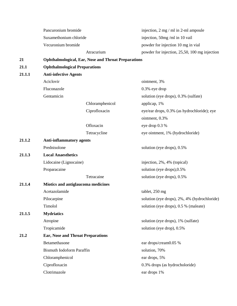|        | Pancuronium bromide                      |                                                            | injection, $2 \text{ mg} / \text{ml}$ in $2 \text{-ml}$ ampoule |
|--------|------------------------------------------|------------------------------------------------------------|-----------------------------------------------------------------|
|        | Suxamethonium chloride                   |                                                            | injection, 50mg/ml in 10 vail                                   |
|        | Vecuronium bromide                       |                                                            | powder for injection 10 mg in vial                              |
|        |                                          | Atracurium                                                 | powder for injection, 25,50, 100 mg injection                   |
| 21     |                                          | <b>Ophthalmological, Ear, Nose and Throat Preparations</b> |                                                                 |
| 21.1   | <b>Ophthalmological Preparations</b>     |                                                            |                                                                 |
| 21.1.1 | <b>Anti-infective Agents</b>             |                                                            |                                                                 |
|        | Aciclovir                                |                                                            | ointment, 3%                                                    |
|        | Fluconazole                              |                                                            | $0.3\%$ eye drop                                                |
|        | Gentamicin                               |                                                            | solution (eye drops), 0.3% (sulfate)                            |
|        |                                          | Chloramphenicol                                            | applicap, 1%                                                    |
|        |                                          | Ciprofloxacin                                              | eye/ear drops, 0.3% (as hydrochloride); eye                     |
|        |                                          |                                                            | ointment, 0.3%                                                  |
|        |                                          | Ofloxacin                                                  | eye drop 0.3 %                                                  |
|        |                                          | Tetracycline                                               | eye ointment, 1% (hydrochloride)                                |
| 21.1.2 | <b>Anti-inflammatory agents</b>          |                                                            |                                                                 |
|        | Prednisolone                             |                                                            | solution (eye drops), 0.5%                                      |
| 21.1.3 | <b>Local Anaesthetics</b>                |                                                            |                                                                 |
|        | Lidocaine (Lignocaine)                   |                                                            | injection, 2%, 4% (topical)                                     |
|        | Proparacaine                             |                                                            | solution (eye drops), 0.5%                                      |
|        |                                          | Tetracaine                                                 | solution (eye drops), 0.5%                                      |
| 21.1.4 | Miotics and antiglaucoma medicines       |                                                            |                                                                 |
|        | Acetazolamide                            |                                                            | tablet, 250 mg                                                  |
|        | Pilocarpine                              |                                                            | solution (eye drops), 2%, 4% (hydrochloride)                    |
|        | Timolol                                  |                                                            | solution (eye drops), 0.5 % (maleate)                           |
| 21.1.5 | <b>Mydriatics</b>                        |                                                            |                                                                 |
|        | Atropine                                 |                                                            | solution (eye drops), 1% (sulfate)                              |
|        | Tropicamide                              |                                                            | solution (eye drop), 0.5%                                       |
| 21.2   | <b>Ear, Nose and Throat Preparations</b> |                                                            |                                                                 |
|        | Betamethasone                            |                                                            | ear drops/cream0.05 %                                           |
|        | <b>Bismuth Iodoform Paraffin</b>         |                                                            | solution, 70%                                                   |
|        | Chloramphenicol                          |                                                            | ear drops, 5%                                                   |
|        | Ciprofloxacin                            |                                                            | 0.3% drops (as hydrocholoride)                                  |
|        | Clotrimazole                             |                                                            | ear drops 1%                                                    |
|        |                                          |                                                            |                                                                 |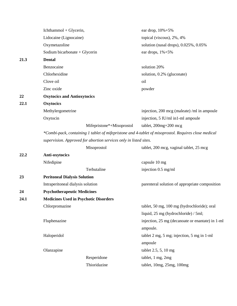|      | Ichthammol + Glycerin,                                                                               |                                                                   | ear drop, $10\% + 5\%$                           |  |  |
|------|------------------------------------------------------------------------------------------------------|-------------------------------------------------------------------|--------------------------------------------------|--|--|
|      | Lidocaine (Lignocaine)                                                                               |                                                                   | topical (viscous), 2%, 4%                        |  |  |
|      | Oxymetazoline                                                                                        |                                                                   | solution (nasal drops), 0.025%, 0.05%            |  |  |
|      | Sodium bicarbonate + Glycerin                                                                        |                                                                   | ear drops, $1\% + 5\%$                           |  |  |
| 21.3 | <b>Dental</b>                                                                                        |                                                                   |                                                  |  |  |
|      | Benzocaine                                                                                           |                                                                   | solution 20%                                     |  |  |
|      | Chlorhexidine                                                                                        |                                                                   | solution, 0.2% (gluconate)                       |  |  |
|      | Clove oil                                                                                            |                                                                   | oil                                              |  |  |
|      | Zinc oxide                                                                                           |                                                                   | powder                                           |  |  |
| 22   | <b>Oxytocics and Antioxytocics</b>                                                                   |                                                                   |                                                  |  |  |
| 22.1 | <b>Oxytocics</b>                                                                                     |                                                                   |                                                  |  |  |
|      | Methylergometrine                                                                                    |                                                                   | injection, 200 mcg (maleate) /ml in ampoule      |  |  |
|      | Oxytocin                                                                                             |                                                                   | injection, 5 IU/ml in1-ml ampoule                |  |  |
|      |                                                                                                      | Mifepristone*+Misoprostol                                         | tablet, $200mg + 200mg$                          |  |  |
|      | *Combi-pack, containing 1 tablet of mifepristone and 4-tablet of misoprostol. Requires close medical |                                                                   |                                                  |  |  |
|      |                                                                                                      | supervision. Approved for abortion services only in listed sites. |                                                  |  |  |
|      |                                                                                                      | Misoprostol                                                       | tablet, 200 mcg, vaginal tablet, 25 mcg          |  |  |
| 22.2 | Anti-oxytocics                                                                                       |                                                                   |                                                  |  |  |
|      | Nifedipine                                                                                           |                                                                   | capsule 10 mg                                    |  |  |
|      |                                                                                                      | Terbutaline                                                       | injection 0.5 mg/ml                              |  |  |
| 23   | <b>Peritoneal Dialysis Solution</b>                                                                  |                                                                   |                                                  |  |  |
|      | Intraperitoneal dialysis solution                                                                    |                                                                   | parenteral solution of appropriate composition   |  |  |
| 24   | <b>Psychotherapeutic Medicines</b>                                                                   |                                                                   |                                                  |  |  |
| 24.1 | <b>Medicines Used in Psychotic Disorders</b>                                                         |                                                                   |                                                  |  |  |
|      | Chlorpromazine                                                                                       |                                                                   | tablet, 50 mg, 100 mg (hydrochloride); oral      |  |  |
|      |                                                                                                      |                                                                   | liquid, 25 mg (hydrochloride) / 5ml;             |  |  |
|      | Fluphenazine                                                                                         |                                                                   | injection, 25 mg (decanoate or enantate) in 1-ml |  |  |
|      |                                                                                                      |                                                                   | ampoule.                                         |  |  |
|      | Haloperidol                                                                                          |                                                                   | tablet 2 mg, 5 mg; injection, 5 mg in 1-ml       |  |  |
|      |                                                                                                      |                                                                   | ampoule                                          |  |  |
|      | Olanzapine                                                                                           |                                                                   | tablet 2.5, 5, 10 mg                             |  |  |
|      |                                                                                                      | Resperidone                                                       | tablet, 1 mg, 2mg                                |  |  |
|      |                                                                                                      | Thioridazine                                                      | tablet, 10mg, 25mg, 100mg                        |  |  |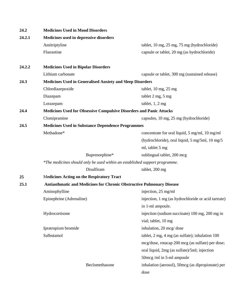| 24.2   | <b>Medicines Used in Mood Disorders</b>                                     |                                                                  |  |  |
|--------|-----------------------------------------------------------------------------|------------------------------------------------------------------|--|--|
| 24.2.1 | Medicines used in depressive disorders                                      |                                                                  |  |  |
|        | Amitriptyline                                                               | tablet, 10 mg, 25 mg, 75 mg (hydrochloride)                      |  |  |
|        | Fluoxetine                                                                  | capsule or tablet, 20 mg (as hydrochloride)                      |  |  |
| 24.2.2 | <b>Medicines Used in Bipolar Disorders</b>                                  |                                                                  |  |  |
|        | Lithium carbonate                                                           | capsule or tablet, 300 mg (sustained release)                    |  |  |
| 24.3   |                                                                             | <b>Medicines Used in Generalised Anxiety and Sleep Disorders</b> |  |  |
|        | Chlordiazepoxide                                                            | tablet, 10 mg, 25 mg                                             |  |  |
|        | Diazepam                                                                    | tablet 2 mg, 5 mg                                                |  |  |
|        | Lorazepam                                                                   | tablet, $1, 2$ mg                                                |  |  |
| 24.4   | <b>Medicines Used for Obsessive Compulsive Disorders and Panic Attacks</b>  |                                                                  |  |  |
|        | Clomipramine                                                                | capsules, 10 mg, 25 mg (hydrochloride)                           |  |  |
| 24.5   | <b>Medicines Used in Substance Dependence Programmes</b>                    |                                                                  |  |  |
|        | Methadone*                                                                  | concentrate for oral liquid, 5 mg/ml, 10 mg/ml                   |  |  |
|        |                                                                             | (hydrochloride), oral liquid, 5 mg/5ml, 10 mg/5                  |  |  |
|        |                                                                             | ml, tablet 5 mg                                                  |  |  |
|        | Buprenorphine*                                                              | sublingual tablet, 200 mcg                                       |  |  |
|        | *The medicines should only be used within an established support programme. |                                                                  |  |  |
|        | Disulfiram                                                                  | tablet, 200 mg                                                   |  |  |
| 25     | <b>Medicines Acting on the Respiratory Tract</b>                            |                                                                  |  |  |
| 25.1   | Antiasthmatic and Medicines for Chronic Obstructive Pulmonary Disease       |                                                                  |  |  |
|        | Aminophylline                                                               | injection, 25 mg/ml                                              |  |  |
|        | Epinephrine (Adrenaline)                                                    | injection, 1 mg (as hydrochloride or acid tartrate)              |  |  |
|        |                                                                             | in 1-ml ampoule.                                                 |  |  |
|        | Hydrocortisone                                                              | injection (sodium succinate) 100 mg, 200 mg in                   |  |  |
|        |                                                                             | vial; tablet, 10 mg                                              |  |  |
|        | Ipratropium bromide                                                         | inhalation, 20 mcg/ dose                                         |  |  |
|        | Salbutamol                                                                  | tablet, 2 mg, 4 mg (as sulfate); inhalation 100                  |  |  |
|        |                                                                             | mcg/dose, rotacap 200 mcg (as sulfate) per dose;                 |  |  |
|        |                                                                             | oral liquid, 2mg (as sulfate)/5ml; injection                     |  |  |
|        |                                                                             | 50mcg/ml in 5-ml ampoule                                         |  |  |
|        | Beclomethasone                                                              | inhalation (aerosol), 50mcg (as dipropionate) per                |  |  |
|        |                                                                             | dose                                                             |  |  |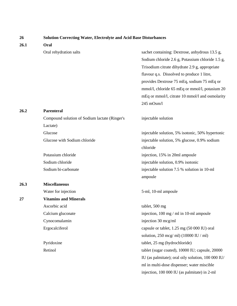| 26   | <b>Solution Correcting Water, Electrolyte and Acid Base Disturbances</b> |                                                    |  |
|------|--------------------------------------------------------------------------|----------------------------------------------------|--|
| 26.1 | Oral                                                                     |                                                    |  |
|      | Oral rehydration salts                                                   | sachet containing: Dextrose, anhydrous 13.5 g,     |  |
|      |                                                                          | Sodium chloride 2.6 g, Potassium chloride 1.5 g,   |  |
|      |                                                                          | Trisodium citrate dihydrate 2.9 g, appropriate     |  |
|      |                                                                          | flavour q.s. Dissolved to produce 1 litre,         |  |
|      |                                                                          | provides Dextrose 75 mEq, sodium 75 mEq or         |  |
|      |                                                                          | mmol/l, chloride 65 mEq or mmol/l, potasium 20     |  |
|      |                                                                          | mEq or mmol/l, citrate 10 mmol/l and osmolarity    |  |
|      |                                                                          | $245$ mOsm/l                                       |  |
| 26.2 | <b>Parenteral</b>                                                        |                                                    |  |
|      | Compound solution of Sodium lactate (Ringer's                            | injectable solution                                |  |
|      | Lactate)                                                                 |                                                    |  |
|      | Glucose                                                                  | injectable solution, 5% isotonic, 50% hypertonic   |  |
|      | Glucose with Sodium chloride                                             | injectable solution, 5% glucose, 0.9% sodium       |  |
|      |                                                                          | chloride                                           |  |
|      | Potassium chloride                                                       | injection, 15% in 20ml ampoule                     |  |
|      | Sodium chloride                                                          | injectable solution, 0.9% isotonic                 |  |
|      | Sodium bi-carbonate                                                      | injectable solution 7.5 % solution in 10-ml        |  |
|      |                                                                          | ampoule                                            |  |
| 26.3 | <b>Miscellaneous</b>                                                     |                                                    |  |
|      | Water for injection                                                      | 5-ml, 10-ml ampoule                                |  |
| 27   | <b>Vitamins and Minerals</b>                                             |                                                    |  |
|      | Ascorbic acid                                                            | tablet, 500 mg                                     |  |
|      | Calcium gluconate                                                        | injection, 100 mg / ml in 10-ml ampoule            |  |
|      | Cynocomalamin                                                            | injection 30 mcg/ml                                |  |
|      | Ergocalciferol                                                           | capsule or tablet, 1.25 mg (50 000 IU) oral        |  |
|      |                                                                          | solution, 250 mcg/ml) (10000 IU / ml)              |  |
|      | Pyridoxine                                                               | tablet, 25 mg (hydrochloride)                      |  |
|      | Retinol                                                                  | tablet (sugar coated), 10000 IU; capsule, 20000    |  |
|      |                                                                          | IU (as palmitate); oral oily solution, 100 000 IU/ |  |
|      |                                                                          | ml in multi-dose dispenser; water miscible         |  |
|      |                                                                          | injection, 100 000 IU (as palmitate) in 2-ml       |  |